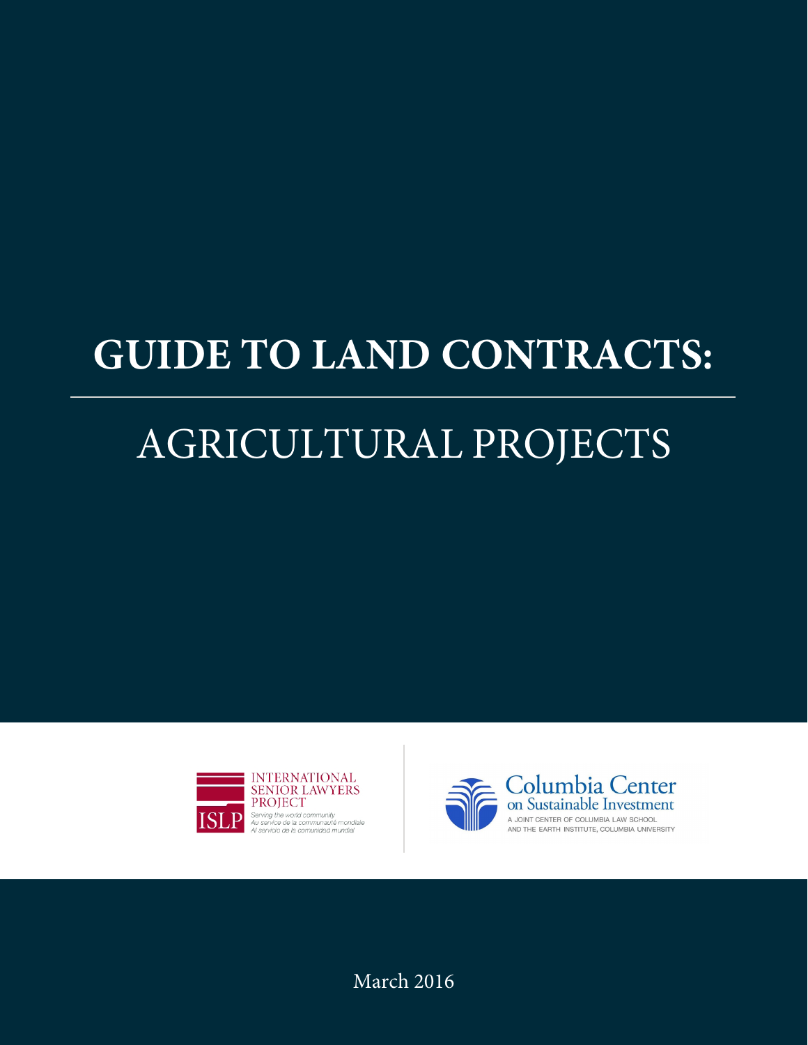# **GUIDE TO LAND CONTRACTS:**

# AGRICULTURAL PROJECTS





March 2016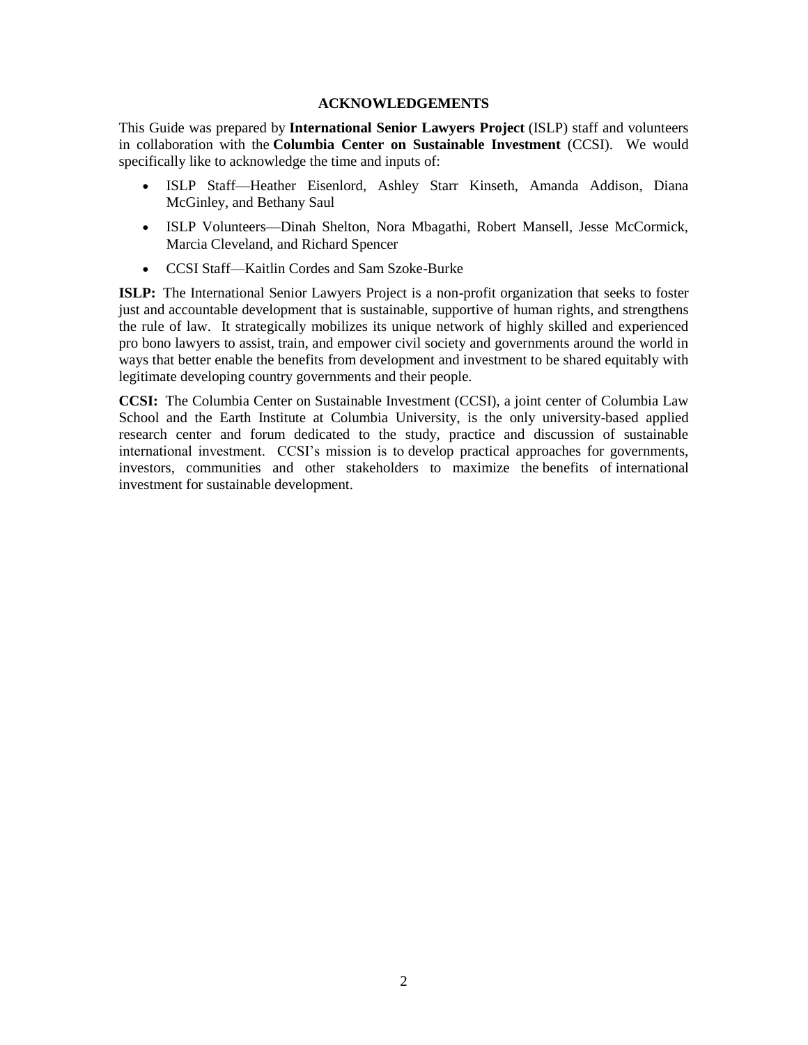#### **ACKNOWLEDGEMENTS**

This Guide was prepared by **International Senior Lawyers Project** (ISLP) staff and volunteers in collaboration with the **Columbia Center on Sustainable Investment** (CCSI). We would specifically like to acknowledge the time and inputs of:

- ISLP Staff—Heather Eisenlord, Ashley Starr Kinseth, Amanda Addison, Diana McGinley, and Bethany Saul
- ISLP Volunteers—Dinah Shelton, Nora Mbagathi, Robert Mansell, Jesse McCormick, Marcia Cleveland, and Richard Spencer
- CCSI Staff—Kaitlin Cordes and Sam Szoke-Burke

**ISLP:** The International Senior Lawyers Project is a non-profit organization that seeks to foster just and accountable development that is sustainable, supportive of human rights, and strengthens the rule of law. It strategically mobilizes its unique network of highly skilled and experienced pro bono lawyers to assist, train, and empower civil society and governments around the world in ways that better enable the benefits from development and investment to be shared equitably with legitimate developing country governments and their people.

**CCSI:** The Columbia Center on Sustainable Investment (CCSI), a joint center of Columbia Law School and the Earth Institute at Columbia University, is the only university-based applied research center and forum dedicated to the study, practice and discussion of sustainable international investment. CCSI's mission is to develop practical approaches for governments, investors, communities and other stakeholders to maximize the benefits of international investment for sustainable development.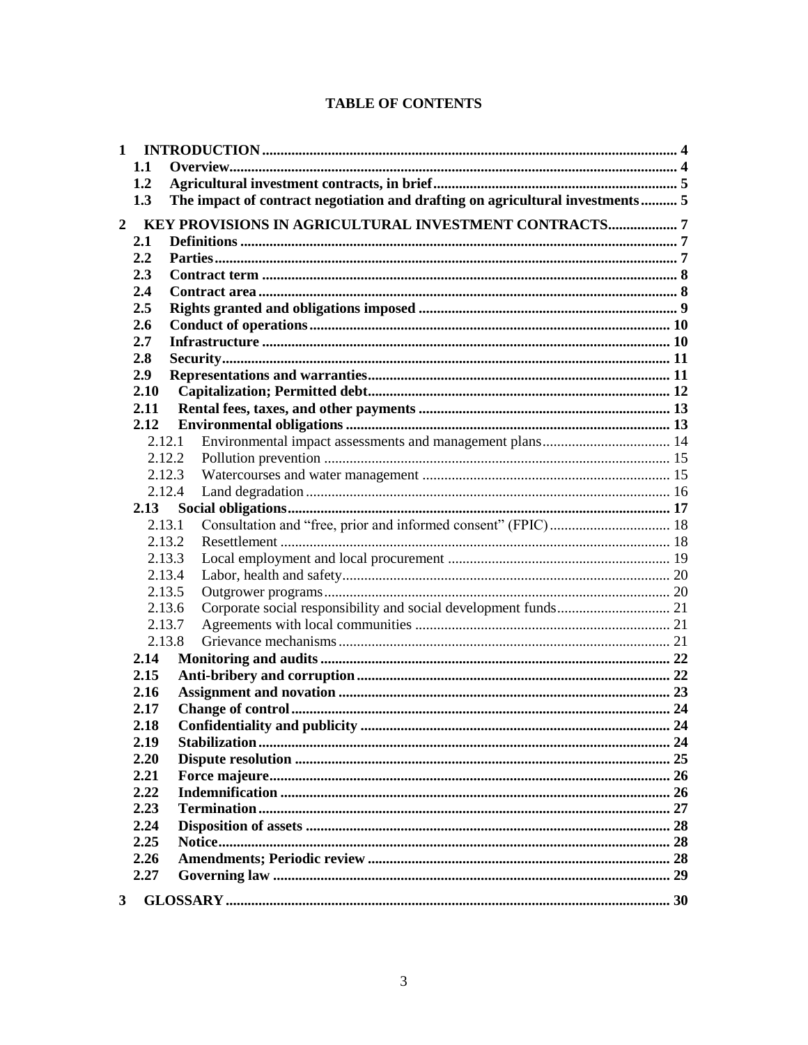# **TABLE OF CONTENTS**

| $\mathbf{1}$   |              |                                                                               |  |
|----------------|--------------|-------------------------------------------------------------------------------|--|
|                | 1.1          |                                                                               |  |
|                | 1.2          |                                                                               |  |
|                | 1.3          | The impact of contract negotiation and drafting on agricultural investments 5 |  |
| $\overline{2}$ |              |                                                                               |  |
|                | 2.1          |                                                                               |  |
|                | 2.2          |                                                                               |  |
|                | 2.3          |                                                                               |  |
|                | 2.4          |                                                                               |  |
|                | 2.5          |                                                                               |  |
|                | 2.6          |                                                                               |  |
|                | 2.7          |                                                                               |  |
|                | 2.8          |                                                                               |  |
|                | 2.9          |                                                                               |  |
|                | 2.10         |                                                                               |  |
|                | 2.11         |                                                                               |  |
|                | 2.12         |                                                                               |  |
|                |              | 2.12.1                                                                        |  |
|                |              | 2.12.2                                                                        |  |
|                |              | 2.12.3                                                                        |  |
|                |              | 2.12.4                                                                        |  |
|                | 2.13         |                                                                               |  |
|                |              | 2.13.1                                                                        |  |
|                |              | 2.13.2                                                                        |  |
|                |              | 2.13.3                                                                        |  |
|                |              | 2.13.4                                                                        |  |
|                |              | 2.13.5                                                                        |  |
|                |              | 2.13.6                                                                        |  |
|                |              | 2.13.7                                                                        |  |
|                |              | 2.13.8                                                                        |  |
|                | 2.14         |                                                                               |  |
|                | 2.15         |                                                                               |  |
|                | 2.16         |                                                                               |  |
|                | 2.17         |                                                                               |  |
|                | 2.18         |                                                                               |  |
|                | 2.19<br>2.20 |                                                                               |  |
|                | 2.21         |                                                                               |  |
|                | 2.22         |                                                                               |  |
|                | 2.23         |                                                                               |  |
|                | 2.24         |                                                                               |  |
|                | 2.25         |                                                                               |  |
|                | 2.26         |                                                                               |  |
|                | 2.27         |                                                                               |  |
|                |              |                                                                               |  |
| $\mathbf{3}$   |              |                                                                               |  |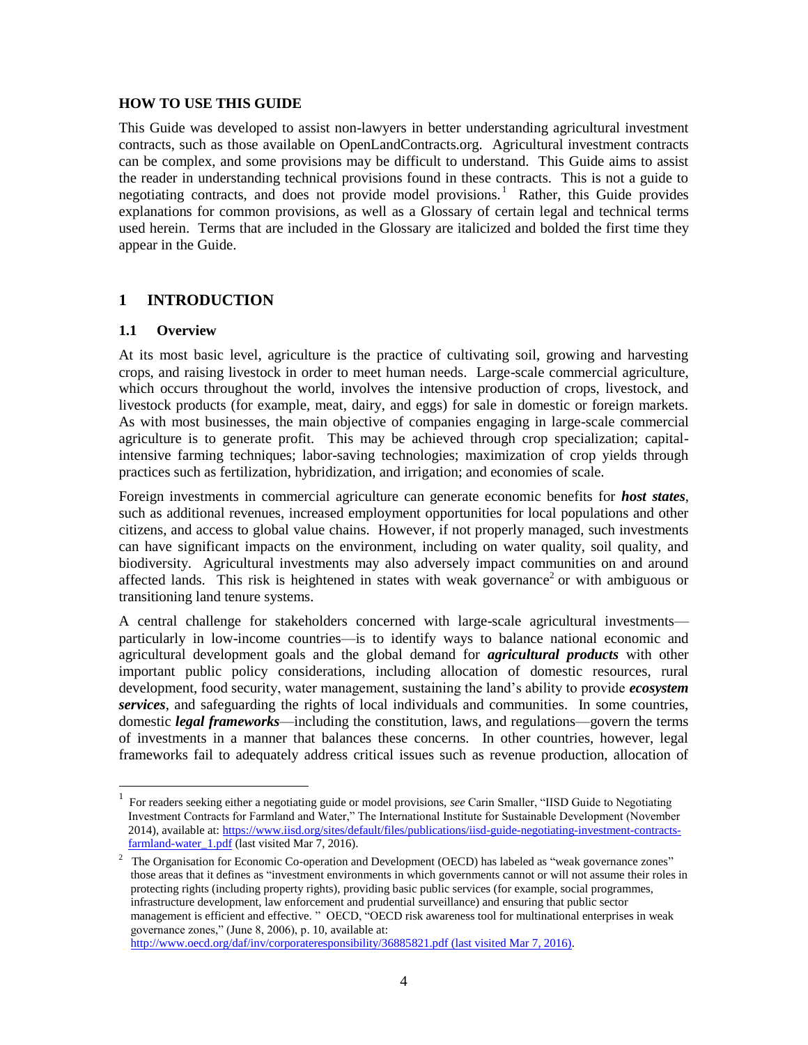#### **HOW TO USE THIS GUIDE**

This Guide was developed to assist non-lawyers in better understanding agricultural investment contracts, such as those available on OpenLandContracts.org. Agricultural investment contracts can be complex, and some provisions may be difficult to understand. This Guide aims to assist the reader in understanding technical provisions found in these contracts. This is not a guide to negotiating contracts, and does not provide model provisions.<sup>1</sup> Rather, this Guide provides explanations for common provisions, as well as a Glossary of certain legal and technical terms used herein. Terms that are included in the Glossary are italicized and bolded the first time they appear in the Guide.

# **1 INTRODUCTION**

#### **1.1 Overview**

l

At its most basic level, agriculture is the practice of cultivating soil, growing and harvesting crops, and raising livestock in order to meet human needs. Large-scale commercial agriculture, which occurs throughout the world, involves the intensive production of crops, livestock, and livestock products (for example, meat, dairy, and eggs) for sale in domestic or foreign markets. As with most businesses, the main objective of companies engaging in large-scale commercial agriculture is to generate profit. This may be achieved through crop specialization; capitalintensive farming techniques; labor-saving technologies; maximization of crop yields through practices such as fertilization, hybridization, and irrigation; and economies of scale.

Foreign investments in commercial agriculture can generate economic benefits for *host states*, such as additional revenues, increased employment opportunities for local populations and other citizens, and access to global value chains. However, if not properly managed, such investments can have significant impacts on the environment, including on water quality, soil quality, and biodiversity. Agricultural investments may also adversely impact communities on and around affected lands. This risk is heightened in states with weak governance<sup>2</sup> or with ambiguous or transitioning land tenure systems.

A central challenge for stakeholders concerned with large-scale agricultural investments particularly in low-income countries—is to identify ways to balance national economic and agricultural development goals and the global demand for *agricultural products* with other important public policy considerations, including allocation of domestic resources, rural development, food security, water management, sustaining the land's ability to provide *ecosystem services*, and safeguarding the rights of local individuals and communities. In some countries, domestic *legal frameworks*—including the constitution, laws, and regulations—govern the terms of investments in a manner that balances these concerns. In other countries, however, legal frameworks fail to adequately address critical issues such as revenue production, allocation of

<sup>1</sup> For readers seeking either a negotiating guide or model provisions, *see* Carin Smaller, "IISD Guide to Negotiating Investment Contracts for Farmland and Water," The International Institute for Sustainable Development (November 2014), available at[: https://www.iisd.org/sites/default/files/publications/iisd-guide-negotiating-investment-contracts](https://www.iisd.org/sites/default/files/publications/iisd-guide-negotiating-investment-contracts-farmland-water_1.pdf)[farmland-water\\_1.pdf](https://www.iisd.org/sites/default/files/publications/iisd-guide-negotiating-investment-contracts-farmland-water_1.pdf) (last visited Mar 7, 2016).

<sup>&</sup>lt;sup>2</sup> The Organisation for Economic Co-operation and Development (OECD) has labeled as "weak governance zones" those areas that it defines as "investment environments in which governments cannot or will not assume their roles in protecting rights (including property rights), providing basic public services (for example, social programmes, infrastructure development, law enforcement and prudential surveillance) and ensuring that public sector management is efficient and effective. " OECD, "OECD risk awareness tool for multinational enterprises in weak governance zones," (June 8, 2006), p. 10, available at: <http://www.oecd.org/daf/inv/corporateresponsibility/36885821.pdf> (last visited Mar 7, 2016).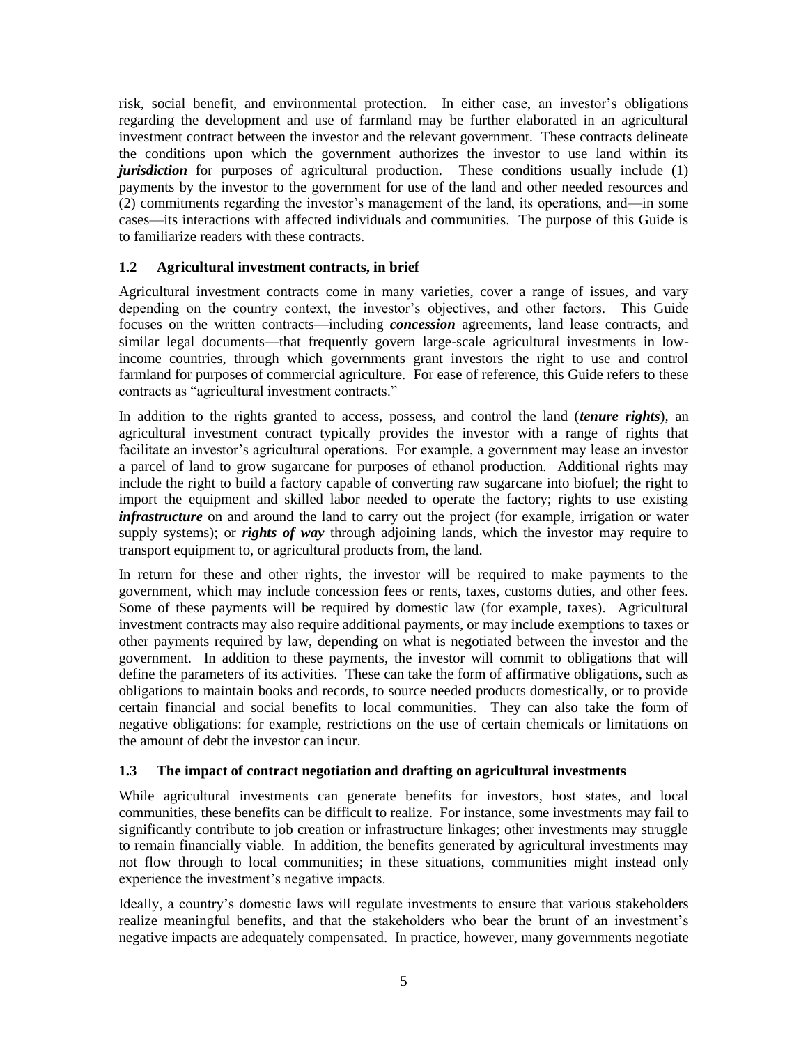risk, social benefit, and environmental protection. In either case, an investor's obligations regarding the development and use of farmland may be further elaborated in an agricultural investment contract between the investor and the relevant government. These contracts delineate the conditions upon which the government authorizes the investor to use land within its *jurisdiction* for purposes of agricultural production. These conditions usually include (1) payments by the investor to the government for use of the land and other needed resources and (2) commitments regarding the investor's management of the land, its operations, and—in some cases—its interactions with affected individuals and communities. The purpose of this Guide is to familiarize readers with these contracts.

## **1.2 Agricultural investment contracts, in brief**

Agricultural investment contracts come in many varieties, cover a range of issues, and vary depending on the country context, the investor's objectives, and other factors. This Guide focuses on the written contracts—including *concession* agreements, land lease contracts, and similar legal documents—that frequently govern large-scale agricultural investments in lowincome countries, through which governments grant investors the right to use and control farmland for purposes of commercial agriculture. For ease of reference, this Guide refers to these contracts as "agricultural investment contracts."

In addition to the rights granted to access, possess, and control the land (*tenure rights*), an agricultural investment contract typically provides the investor with a range of rights that facilitate an investor's agricultural operations. For example, a government may lease an investor a parcel of land to grow sugarcane for purposes of ethanol production. Additional rights may include the right to build a factory capable of converting raw sugarcane into biofuel; the right to import the equipment and skilled labor needed to operate the factory; rights to use existing *infrastructure* on and around the land to carry out the project (for example, irrigation or water supply systems); or *rights of way* through adjoining lands, which the investor may require to transport equipment to, or agricultural products from, the land.

In return for these and other rights, the investor will be required to make payments to the government, which may include concession fees or rents, taxes, customs duties, and other fees. Some of these payments will be required by domestic law (for example, taxes). Agricultural investment contracts may also require additional payments, or may include exemptions to taxes or other payments required by law, depending on what is negotiated between the investor and the government. In addition to these payments, the investor will commit to obligations that will define the parameters of its activities. These can take the form of affirmative obligations, such as obligations to maintain books and records, to source needed products domestically, or to provide certain financial and social benefits to local communities. They can also take the form of negative obligations: for example, restrictions on the use of certain chemicals or limitations on the amount of debt the investor can incur.

#### **1.3 The impact of contract negotiation and drafting on agricultural investments**

While agricultural investments can generate benefits for investors, host states, and local communities, these benefits can be difficult to realize. For instance, some investments may fail to significantly contribute to job creation or infrastructure linkages; other investments may struggle to remain financially viable. In addition, the benefits generated by agricultural investments may not flow through to local communities; in these situations, communities might instead only experience the investment's negative impacts.

Ideally, a country's domestic laws will regulate investments to ensure that various stakeholders realize meaningful benefits, and that the stakeholders who bear the brunt of an investment's negative impacts are adequately compensated. In practice, however, many governments negotiate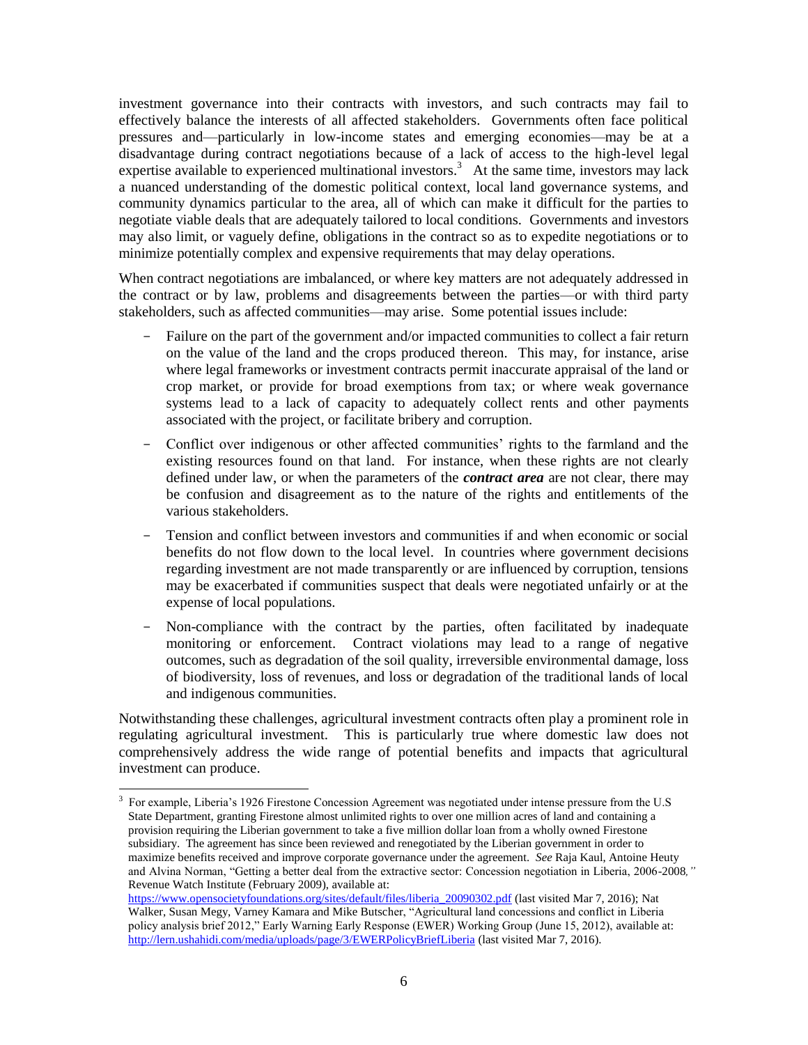investment governance into their contracts with investors, and such contracts may fail to effectively balance the interests of all affected stakeholders. Governments often face political pressures and—particularly in low-income states and emerging economies—may be at a disadvantage during contract negotiations because of a lack of access to the high-level legal expertise available to experienced multinational investors.<sup>3</sup> At the same time, investors may lack a nuanced understanding of the domestic political context, local land governance systems, and community dynamics particular to the area, all of which can make it difficult for the parties to negotiate viable deals that are adequately tailored to local conditions. Governments and investors may also limit, or vaguely define, obligations in the contract so as to expedite negotiations or to minimize potentially complex and expensive requirements that may delay operations.

When contract negotiations are imbalanced, or where key matters are not adequately addressed in the contract or by law, problems and disagreements between the parties—or with third party stakeholders, such as affected communities—may arise. Some potential issues include:

- Failure on the part of the government and/or impacted communities to collect a fair return on the value of the land and the crops produced thereon. This may, for instance, arise where legal frameworks or investment contracts permit inaccurate appraisal of the land or crop market, or provide for broad exemptions from tax; or where weak governance systems lead to a lack of capacity to adequately collect rents and other payments associated with the project, or facilitate bribery and corruption.
- Conflict over indigenous or other affected communities' rights to the farmland and the existing resources found on that land. For instance, when these rights are not clearly defined under law, or when the parameters of the *contract area* are not clear, there may be confusion and disagreement as to the nature of the rights and entitlements of the various stakeholders.
- Tension and conflict between investors and communities if and when economic or social benefits do not flow down to the local level. In countries where government decisions regarding investment are not made transparently or are influenced by corruption, tensions may be exacerbated if communities suspect that deals were negotiated unfairly or at the expense of local populations.
- Non-compliance with the contract by the parties, often facilitated by inadequate monitoring or enforcement. Contract violations may lead to a range of negative outcomes, such as degradation of the soil quality, irreversible environmental damage, loss of biodiversity, loss of revenues, and loss or degradation of the traditional lands of local and indigenous communities.

Notwithstanding these challenges, agricultural investment contracts often play a prominent role in regulating agricultural investment. This is particularly true where domestic law does not comprehensively address the wide range of potential benefits and impacts that agricultural investment can produce.

l

<sup>3</sup> For example, Liberia's 1926 Firestone Concession Agreement was negotiated under intense pressure from the U.S State Department, granting Firestone almost unlimited rights to over one million acres of land and containing a provision requiring the Liberian government to take a five million dollar loan from a wholly owned Firestone subsidiary. The agreement has since been reviewed and renegotiated by the Liberian government in order to maximize benefits received and improve corporate governance under the agreement. *See* Raja Kaul, Antoine Heuty and Alvina Norman, "Getting a better deal from the extractive sector: Concession negotiation in Liberia, 2006-2008*,"*  Revenue Watch Institute (February 2009), available at:

[https://www.opensocietyfoundations.org/sites/default/files/liberia\\_20090302.pdf](https://www.opensocietyfoundations.org/sites/default/files/liberia_20090302.pdf) (last visited Mar 7, 2016); Nat Walker, Susan Megy, Varney Kamara and Mike Butscher, "Agricultural land concessions and conflict in Liberia policy analysis brief 2012," Early Warning Early Response (EWER) Working Group (June 15, 2012), available at: <http://lern.ushahidi.com/media/uploads/page/3/EWERPolicyBriefLiberia> (last visited Mar 7, 2016).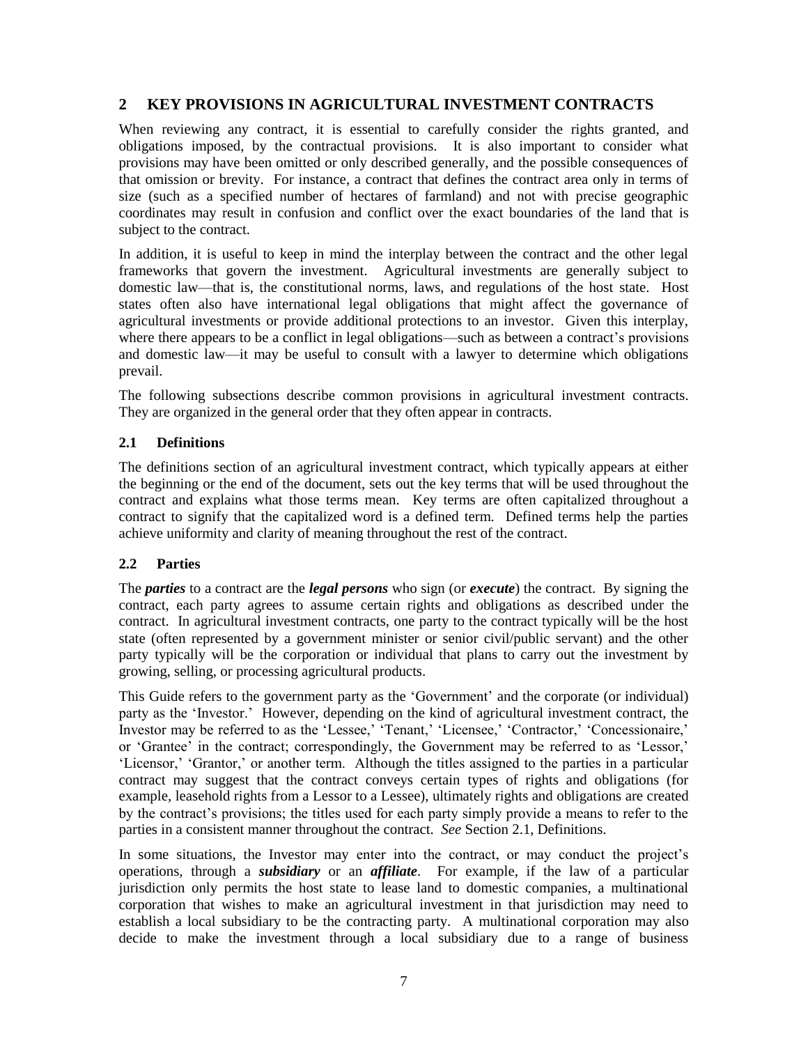# **2 KEY PROVISIONS IN AGRICULTURAL INVESTMENT CONTRACTS**

When reviewing any contract, it is essential to carefully consider the rights granted, and obligations imposed, by the contractual provisions. It is also important to consider what provisions may have been omitted or only described generally, and the possible consequences of that omission or brevity. For instance, a contract that defines the contract area only in terms of size (such as a specified number of hectares of farmland) and not with precise geographic coordinates may result in confusion and conflict over the exact boundaries of the land that is subject to the contract.

In addition, it is useful to keep in mind the interplay between the contract and the other legal frameworks that govern the investment. Agricultural investments are generally subject to domestic law—that is, the constitutional norms, laws, and regulations of the host state. Host states often also have international legal obligations that might affect the governance of agricultural investments or provide additional protections to an investor. Given this interplay, where there appears to be a conflict in legal obligations—such as between a contract's provisions and domestic law—it may be useful to consult with a lawyer to determine which obligations prevail.

The following subsections describe common provisions in agricultural investment contracts. They are organized in the general order that they often appear in contracts.

# <span id="page-6-0"></span>**2.1 Definitions**

The definitions section of an agricultural investment contract, which typically appears at either the beginning or the end of the document, sets out the key terms that will be used throughout the contract and explains what those terms mean. Key terms are often capitalized throughout a contract to signify that the capitalized word is a defined term. Defined terms help the parties achieve uniformity and clarity of meaning throughout the rest of the contract.

#### **2.2 Parties**

The *parties* to a contract are the *legal persons* who sign (or *execute*) the contract. By signing the contract, each party agrees to assume certain rights and obligations as described under the contract. In agricultural investment contracts, one party to the contract typically will be the host state (often represented by a government minister or senior civil/public servant) and the other party typically will be the corporation or individual that plans to carry out the investment by growing, selling, or processing agricultural products.

This Guide refers to the government party as the 'Government' and the corporate (or individual) party as the 'Investor.' However, depending on the kind of agricultural investment contract, the Investor may be referred to as the 'Lessee,' 'Tenant,' 'Licensee,' 'Contractor,' 'Concessionaire,' or 'Grantee' in the contract; correspondingly, the Government may be referred to as 'Lessor,' 'Licensor,' 'Grantor,' or another term. Although the titles assigned to the parties in a particular contract may suggest that the contract conveys certain types of rights and obligations (for example, leasehold rights from a Lessor to a Lessee), ultimately rights and obligations are created by the contract's provisions; the titles used for each party simply provide a means to refer to the parties in a consistent manner throughout the contract. *See* Section [2.1, Definitions.](#page-6-0)

In some situations, the Investor may enter into the contract, or may conduct the project's operations, through a *subsidiary* or an *affiliate*. For example, if the law of a particular jurisdiction only permits the host state to lease land to domestic companies, a multinational corporation that wishes to make an agricultural investment in that jurisdiction may need to establish a local subsidiary to be the contracting party. A multinational corporation may also decide to make the investment through a local subsidiary due to a range of business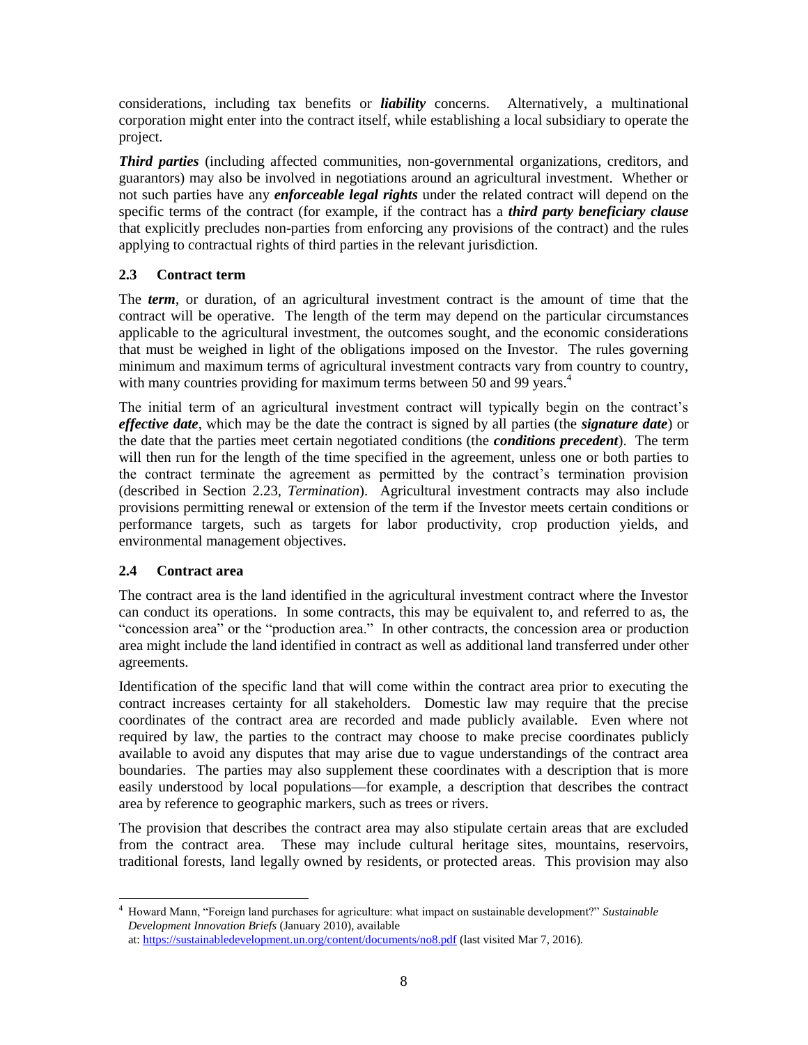considerations, including tax benefits or *liability* concerns. Alternatively, a multinational corporation might enter into the contract itself, while establishing a local subsidiary to operate the project.

*Third parties* (including affected communities, non-governmental organizations, creditors, and guarantors) may also be involved in negotiations around an agricultural investment. Whether or not such parties have any *enforceable legal rights* under the related contract will depend on the specific terms of the contract (for example, if the contract has a *third party beneficiary clause* that explicitly precludes non-parties from enforcing any provisions of the contract) and the rules applying to contractual rights of third parties in the relevant jurisdiction.

# **2.3 Contract term**

The *term*, or duration, of an agricultural investment contract is the amount of time that the contract will be operative. The length of the term may depend on the particular circumstances applicable to the agricultural investment, the outcomes sought, and the economic considerations that must be weighed in light of the obligations imposed on the Investor. The rules governing minimum and maximum terms of agricultural investment contracts vary from country to country, with many countries providing for maximum terms between 50 and 99 years.<sup>4</sup>

The initial term of an agricultural investment contract will typically begin on the contract's *effective date*, which may be the date the contract is signed by all parties (the *signature date*) or the date that the parties meet certain negotiated conditions (the *conditions precedent*). The term will then run for the length of the time specified in the agreement, unless one or both parties to the contract terminate the agreement as permitted by the contract's termination provision (described in Section [2.23,](#page-26-0) *[Termination](#page-26-0)*). Agricultural investment contracts may also include provisions permitting renewal or extension of the term if the Investor meets certain conditions or performance targets, such as targets for labor productivity, crop production yields, and environmental management objectives.

# **2.4 Contract area**

The contract area is the land identified in the agricultural investment contract where the Investor can conduct its operations. In some contracts, this may be equivalent to, and referred to as, the "concession area" or the "production area." In other contracts, the concession area or production area might include the land identified in contract as well as additional land transferred under other agreements.

Identification of the specific land that will come within the contract area prior to executing the contract increases certainty for all stakeholders. Domestic law may require that the precise coordinates of the contract area are recorded and made publicly available. Even where not required by law, the parties to the contract may choose to make precise coordinates publicly available to avoid any disputes that may arise due to vague understandings of the contract area boundaries. The parties may also supplement these coordinates with a description that is more easily understood by local populations—for example, a description that describes the contract area by reference to geographic markers, such as trees or rivers.

The provision that describes the contract area may also stipulate certain areas that are excluded from the contract area. These may include cultural heritage sites, mountains, reservoirs, traditional forests, land legally owned by residents, or protected areas. This provision may also

 $\overline{a}$ <sup>4</sup> Howard Mann, "Foreign land purchases for agriculture: what impact on sustainable development?" *Sustainable Development Innovation Briefs* (January 2010), available at: <https://sustainabledevelopment.un.org/content/documents/no8.pdf> (last visited Mar 7, 2016).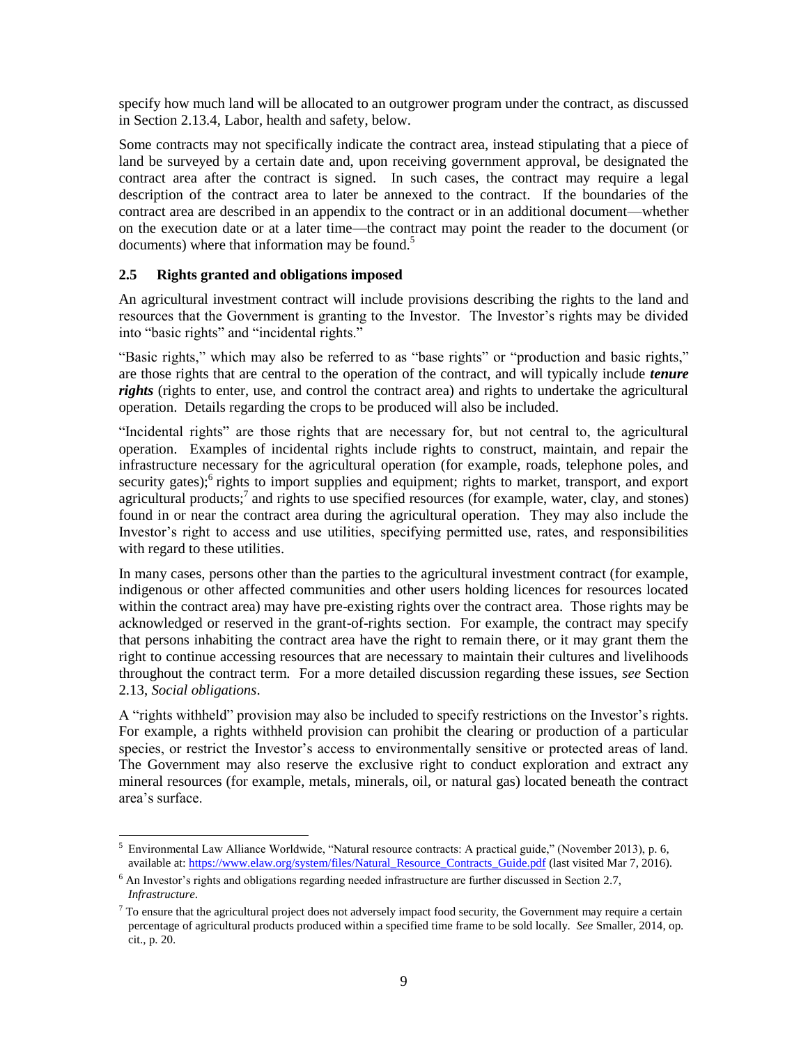specify how much land will be allocated to an outgrower program under the contract, as discussed in Section [2.13.4, Labor, health and safety,](#page-19-0) below.

Some contracts may not specifically indicate the contract area, instead stipulating that a piece of land be surveyed by a certain date and, upon receiving government approval, be designated the contract area after the contract is signed. In such cases, the contract may require a legal description of the contract area to later be annexed to the contract. If the boundaries of the contract area are described in an appendix to the contract or in an additional document—whether on the execution date or at a later time—the contract may point the reader to the document (or documents) where that information may be found. $<sup>5</sup>$ </sup>

# **2.5 Rights granted and obligations imposed**

An agricultural investment contract will include provisions describing the rights to the land and resources that the Government is granting to the Investor. The Investor's rights may be divided into "basic rights" and "incidental rights."

"Basic rights," which may also be referred to as "base rights" or "production and basic rights," are those rights that are central to the operation of the contract, and will typically include *tenure rights* (rights to enter, use, and control the contract area) and rights to undertake the agricultural operation. Details regarding the crops to be produced will also be included.

"Incidental rights" are those rights that are necessary for, but not central to, the agricultural operation. Examples of incidental rights include rights to construct, maintain, and repair the infrastructure necessary for the agricultural operation (for example, roads, telephone poles, and security gates); rights to import supplies and equipment; rights to market, transport, and export agricultural products; $\frac{7}{3}$  and rights to use specified resources (for example, water, clay, and stones) found in or near the contract area during the agricultural operation. They may also include the Investor's right to access and use utilities, specifying permitted use, rates, and responsibilities with regard to these utilities.

In many cases, persons other than the parties to the agricultural investment contract (for example, indigenous or other affected communities and other users holding licences for resources located within the contract area) may have pre-existing rights over the contract area. Those rights may be acknowledged or reserved in the grant-of-rights section. For example, the contract may specify that persons inhabiting the contract area have the right to remain there, or it may grant them the right to continue accessing resources that are necessary to maintain their cultures and livelihoods throughout the contract term. For a more detailed discussion regarding these issues, *see* Section [2.13,](#page-16-0) *[Social obligations](#page-16-0)*.

A "rights withheld" provision may also be included to specify restrictions on the Investor's rights. For example, a rights withheld provision can prohibit the clearing or production of a particular species, or restrict the Investor's access to environmentally sensitive or protected areas of land. The Government may also reserve the exclusive right to conduct exploration and extract any mineral resources (for example, metals, minerals, oil, or natural gas) located beneath the contract area's surface.

l <sup>5</sup> Environmental Law Alliance Worldwide, "Natural resource contracts: A practical guide," (November 2013), p. 6, available at: [https://www.elaw.org/system/files/Natural\\_Resource\\_Contracts\\_Guide.pdf](https://www.elaw.org/system/files/Natural_Resource_Contracts_Guide.pdf) (last visited Mar 7, 2016).

<sup>&</sup>lt;sup>6</sup> An Investor's rights and obligations regarding needed infrastructure are further discussed in Section [2.7,](#page-9-0) *[Infrastructure](#page-9-0)*.

 $<sup>7</sup>$  To ensure that the agricultural project does not adversely impact food security, the Government may require a certain</sup> percentage of agricultural products produced within a specified time frame to be sold locally. *See* Smaller, 2014, op. cit., p. 20.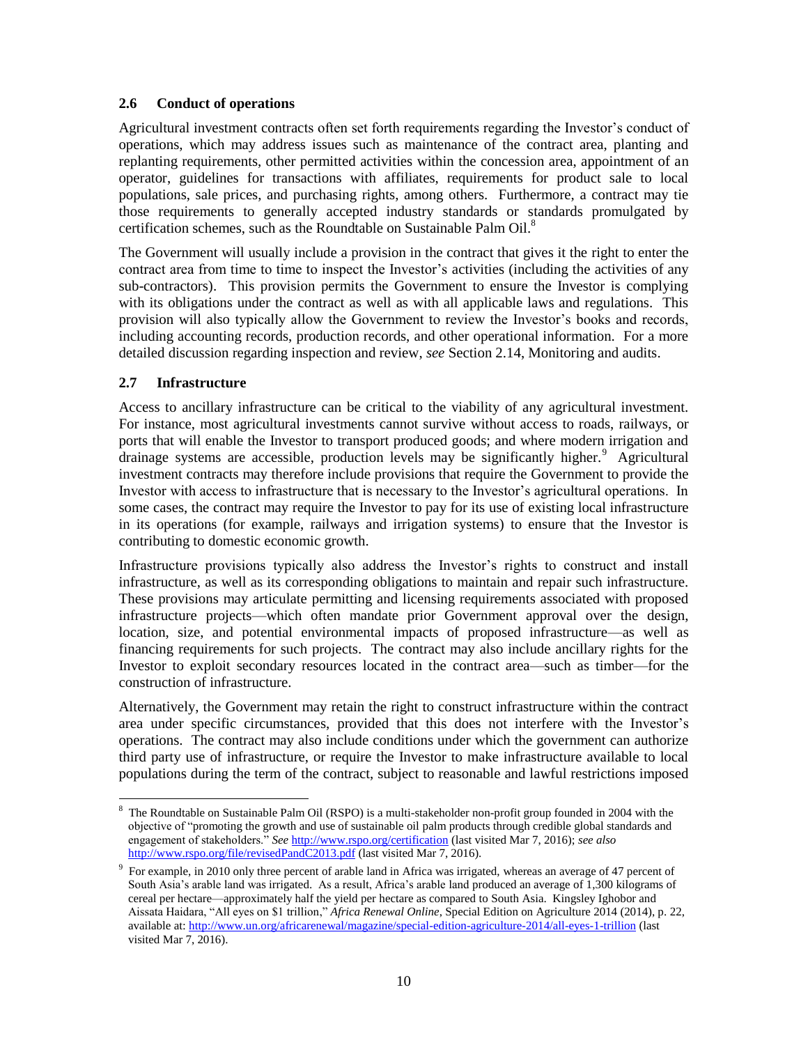#### **2.6 Conduct of operations**

Agricultural investment contracts often set forth requirements regarding the Investor's conduct of operations, which may address issues such as maintenance of the contract area, planting and replanting requirements, other permitted activities within the concession area, appointment of an operator, guidelines for transactions with affiliates, requirements for product sale to local populations, sale prices, and purchasing rights, among others. Furthermore, a contract may tie those requirements to generally accepted industry standards or standards promulgated by certification schemes, such as the Roundtable on Sustainable Palm Oil.<sup>8</sup>

The Government will usually include a provision in the contract that gives it the right to enter the contract area from time to time to inspect the Investor's activities (including the activities of any sub-contractors). This provision permits the Government to ensure the Investor is complying with its obligations under the contract as well as with all applicable laws and regulations. This provision will also typically allow the Government to review the Investor's books and records, including accounting records, production records, and other operational information. For a more detailed discussion regarding inspection and review, *see* Sectio[n 2.14, Monitoring and audits.](#page-21-0)

#### <span id="page-9-0"></span>**2.7 Infrastructure**

l

Access to ancillary infrastructure can be critical to the viability of any agricultural investment. For instance, most agricultural investments cannot survive without access to roads, railways, or ports that will enable the Investor to transport produced goods; and where modern irrigation and drainage systems are accessible, production levels may be significantly higher.<sup>9</sup> Agricultural investment contracts may therefore include provisions that require the Government to provide the Investor with access to infrastructure that is necessary to the Investor's agricultural operations. In some cases, the contract may require the Investor to pay for its use of existing local infrastructure in its operations (for example, railways and irrigation systems) to ensure that the Investor is contributing to domestic economic growth.

Infrastructure provisions typically also address the Investor's rights to construct and install infrastructure, as well as its corresponding obligations to maintain and repair such infrastructure. These provisions may articulate permitting and licensing requirements associated with proposed infrastructure projects—which often mandate prior Government approval over the design, location, size, and potential environmental impacts of proposed infrastructure—as well as financing requirements for such projects. The contract may also include ancillary rights for the Investor to exploit secondary resources located in the contract area—such as timber—for the construction of infrastructure.

Alternatively, the Government may retain the right to construct infrastructure within the contract area under specific circumstances, provided that this does not interfere with the Investor's operations. The contract may also include conditions under which the government can authorize third party use of infrastructure, or require the Investor to make infrastructure available to local populations during the term of the contract, subject to reasonable and lawful restrictions imposed

<sup>8</sup> The Roundtable on Sustainable Palm Oil (RSPO) is a multi-stakeholder non-profit group founded in 2004 with the objective of "promoting the growth and use of sustainable oil palm products through credible global standards and engagement of stakeholders." *See* <http://www.rspo.org/certification> (last visited Mar 7, 2016); *see also* <http://www.rspo.org/file/revisedPandC2013.pdf> (last visited Mar 7, 2016).

<sup>9</sup> For example, in 2010 only three percent of arable land in Africa was irrigated, whereas an average of 47 percent of South Asia's arable land was irrigated. As a result, Africa's arable land produced an average of 1,300 kilograms of cereal per hectare—approximately half the yield per hectare as compared to South Asia. Kingsley Ighobor and Aissata Haidara, "All eyes on \$1 trillion," *Africa Renewal Online*, Special Edition on Agriculture 2014 (2014), p. 22, available at:<http://www.un.org/africarenewal/magazine/special-edition-agriculture-2014/all-eyes-1-trillion> (last visited Mar 7, 2016).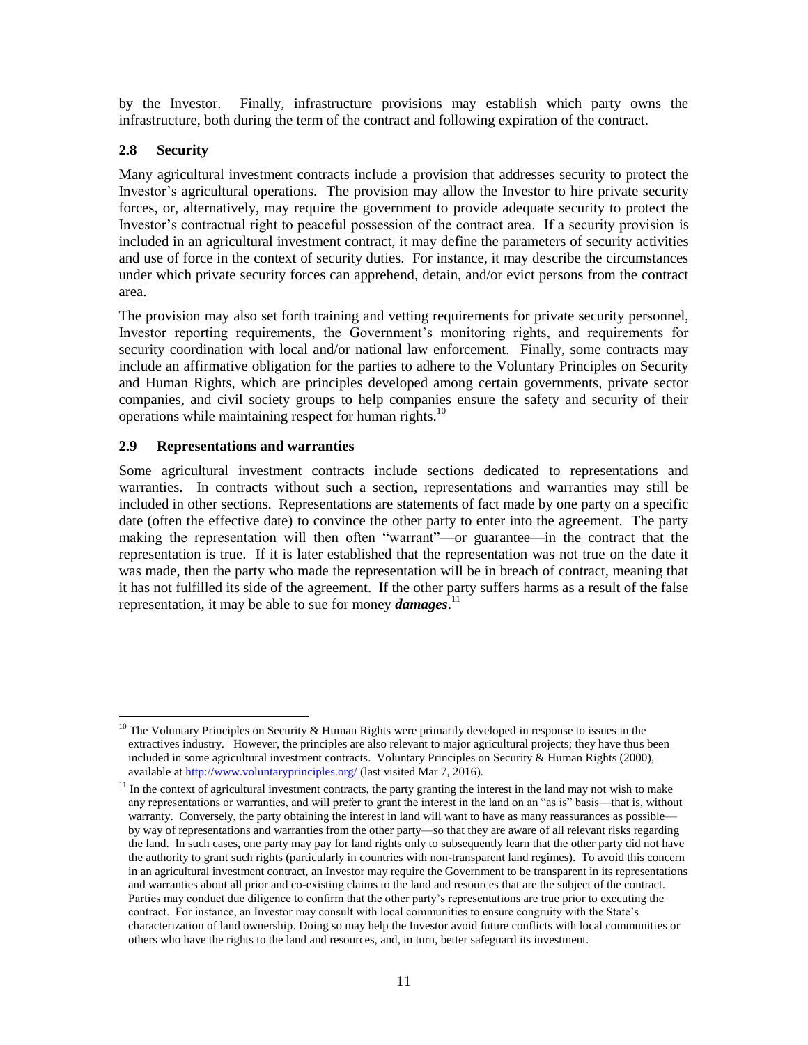by the Investor. Finally, infrastructure provisions may establish which party owns the infrastructure, both during the term of the contract and following expiration of the contract.

## **2.8 Security**

Many agricultural investment contracts include a provision that addresses security to protect the Investor's agricultural operations. The provision may allow the Investor to hire private security forces, or, alternatively, may require the government to provide adequate security to protect the Investor's contractual right to peaceful possession of the contract area. If a security provision is included in an agricultural investment contract, it may define the parameters of security activities and use of force in the context of security duties. For instance, it may describe the circumstances under which private security forces can apprehend, detain, and/or evict persons from the contract area.

The provision may also set forth training and vetting requirements for private security personnel, Investor reporting requirements, the Government's monitoring rights, and requirements for security coordination with local and/or national law enforcement. Finally, some contracts may include an affirmative obligation for the parties to adhere to the Voluntary Principles on Security and Human Rights, which are principles developed among certain governments, private sector companies, and civil society groups to help companies ensure the safety and security of their operations while maintaining respect for human rights. $10$ 

## **2.9 Representations and warranties**

Some agricultural investment contracts include sections dedicated to representations and warranties. In contracts without such a section, representations and warranties may still be included in other sections. Representations are statements of fact made by one party on a specific date (often the effective date) to convince the other party to enter into the agreement. The party making the representation will then often "warrant"—or guarantee—in the contract that the representation is true. If it is later established that the representation was not true on the date it was made, then the party who made the representation will be in breach of contract, meaning that it has not fulfilled its side of the agreement. If the other party suffers harms as a result of the false representation, it may be able to sue for money *damages*. 11

 $\overline{\phantom{a}}$  $10$  The Voluntary Principles on Security & Human Rights were primarily developed in response to issues in the extractives industry. However, the principles are also relevant to major agricultural projects; they have thus been included in some agricultural investment contracts. Voluntary Principles on Security & Human Rights (2000), available a[t http://www.voluntaryprinciples.org/](http://www.voluntaryprinciples.org/) (last visited Mar 7, 2016).

 $11$  In the context of agricultural investment contracts, the party granting the interest in the land may not wish to make any representations or warranties, and will prefer to grant the interest in the land on an "as is" basis—that is, without warranty. Conversely, the party obtaining the interest in land will want to have as many reassurances as possible– by way of representations and warranties from the other party—so that they are aware of all relevant risks regarding the land. In such cases, one party may pay for land rights only to subsequently learn that the other party did not have the authority to grant such rights (particularly in countries with non-transparent land regimes). To avoid this concern in an agricultural investment contract, an Investor may require the Government to be transparent in its representations and warranties about all prior and co-existing claims to the land and resources that are the subject of the contract. Parties may conduct due diligence to confirm that the other party's representations are true prior to executing the contract. For instance, an Investor may consult with local communities to ensure congruity with the State's characterization of land ownership. Doing so may help the Investor avoid future conflicts with local communities or others who have the rights to the land and resources, and, in turn, better safeguard its investment.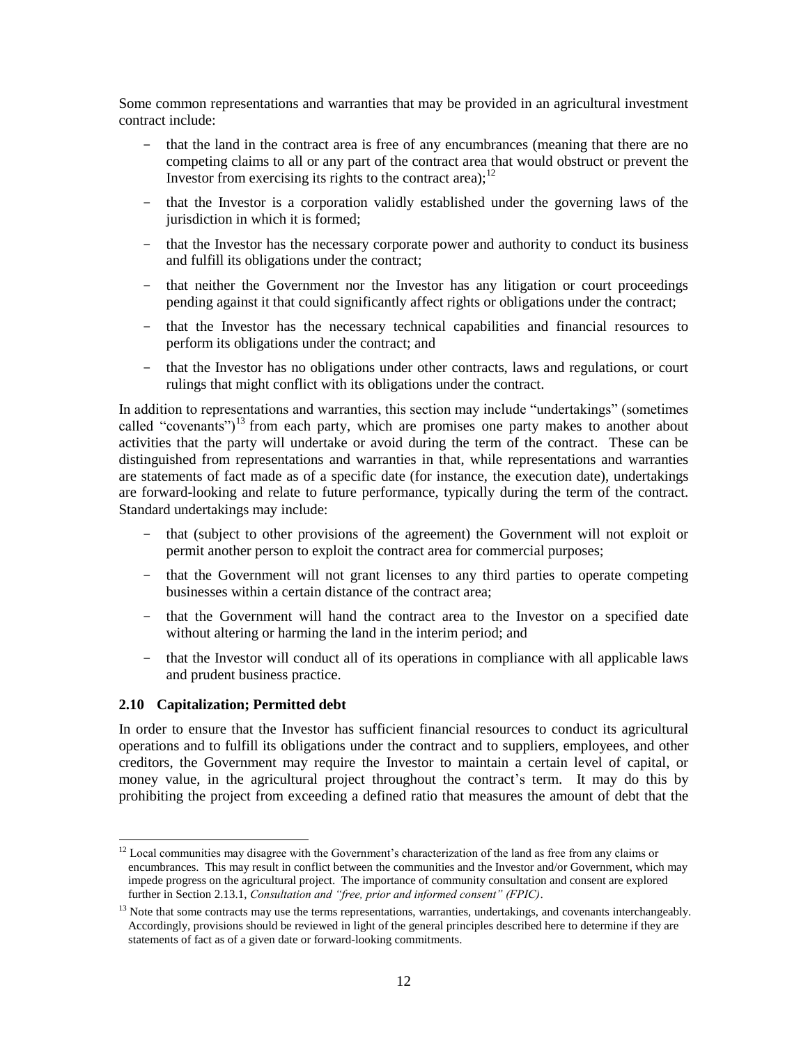Some common representations and warranties that may be provided in an agricultural investment contract include:

- that the land in the contract area is free of any encumbrances (meaning that there are no competing claims to all or any part of the contract area that would obstruct or prevent the Investor from exercising its rights to the contract area):  $12$
- that the Investor is a corporation validly established under the governing laws of the jurisdiction in which it is formed;
- that the Investor has the necessary corporate power and authority to conduct its business and fulfill its obligations under the contract;
- that neither the Government nor the Investor has any litigation or court proceedings pending against it that could significantly affect rights or obligations under the contract;
- that the Investor has the necessary technical capabilities and financial resources to perform its obligations under the contract; and
- that the Investor has no obligations under other contracts, laws and regulations, or court rulings that might conflict with its obligations under the contract.

In addition to representations and warranties, this section may include "undertakings" (sometimes called "covenants")<sup>13</sup> from each party, which are promises one party makes to another about activities that the party will undertake or avoid during the term of the contract. These can be distinguished from representations and warranties in that, while representations and warranties are statements of fact made as of a specific date (for instance, the execution date), undertakings are forward-looking and relate to future performance, typically during the term of the contract. Standard undertakings may include:

- that (subject to other provisions of the agreement) the Government will not exploit or permit another person to exploit the contract area for commercial purposes;
- that the Government will not grant licenses to any third parties to operate competing businesses within a certain distance of the contract area;
- that the Government will hand the contract area to the Investor on a specified date without altering or harming the land in the interim period; and
- that the Investor will conduct all of its operations in compliance with all applicable laws and prudent business practice.

#### **2.10 Capitalization; Permitted debt**

In order to ensure that the Investor has sufficient financial resources to conduct its agricultural operations and to fulfill its obligations under the contract and to suppliers, employees, and other creditors, the Government may require the Investor to maintain a certain level of capital, or money value, in the agricultural project throughout the contract's term. It may do this by prohibiting the project from exceeding a defined ratio that measures the amount of debt that the

l  $12$  Local communities may disagree with the Government's characterization of the land as free from any claims or encumbrances. This may result in conflict between the communities and the Investor and/or Government, which may impede progress on the agricultural project. The importance of community consultation and consent are explored further in Sectio[n 2.13.1,](#page-17-0) *[Consultation and "free, prior and informed consent" \(FPIC\)](#page-17-0)*.

 $<sup>13</sup>$  Note that some contracts may use the terms representations, warranties, undertakings, and covenants interchangeably.</sup> Accordingly, provisions should be reviewed in light of the general principles described here to determine if they are statements of fact as of a given date or forward-looking commitments.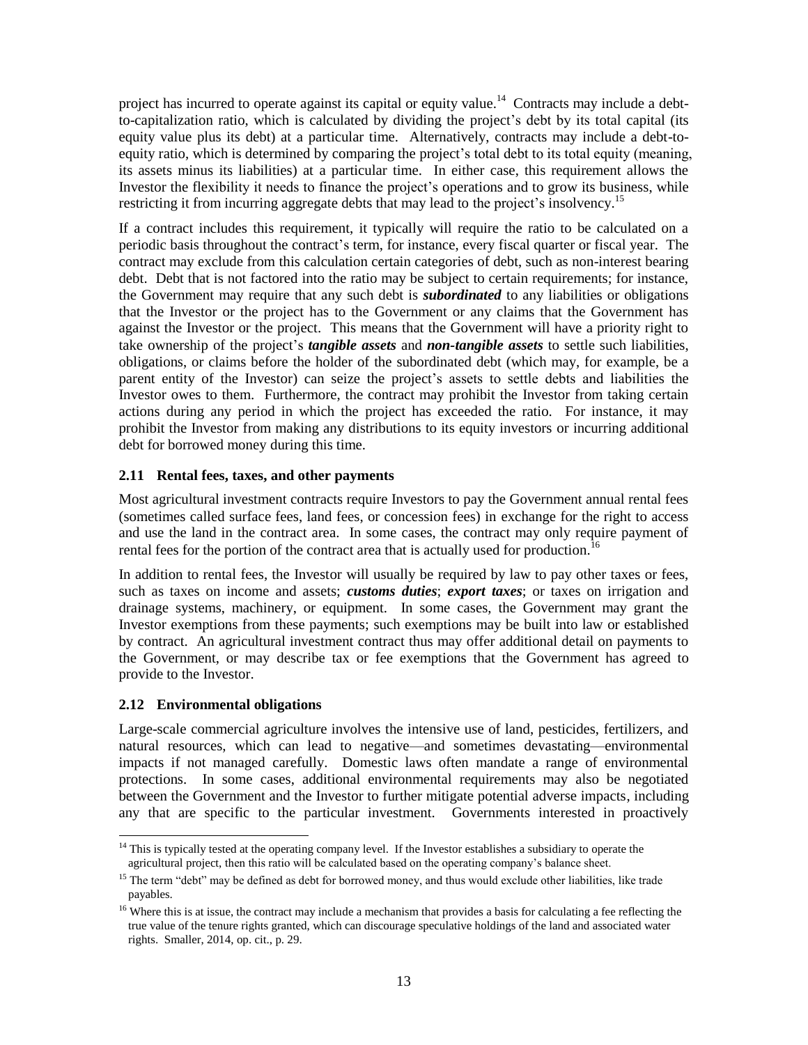project has incurred to operate against its capital or equity value.<sup>14</sup> Contracts may include a debtto-capitalization ratio, which is calculated by dividing the project's debt by its total capital (its equity value plus its debt) at a particular time. Alternatively, contracts may include a debt-toequity ratio, which is determined by comparing the project's total debt to its total equity (meaning, its assets minus its liabilities) at a particular time. In either case, this requirement allows the Investor the flexibility it needs to finance the project's operations and to grow its business, while restricting it from incurring aggregate debts that may lead to the project's insolvency.<sup>15</sup>

If a contract includes this requirement, it typically will require the ratio to be calculated on a periodic basis throughout the contract's term, for instance, every fiscal quarter or fiscal year. The contract may exclude from this calculation certain categories of debt, such as non-interest bearing debt. Debt that is not factored into the ratio may be subject to certain requirements; for instance, the Government may require that any such debt is *subordinated* to any liabilities or obligations that the Investor or the project has to the Government or any claims that the Government has against the Investor or the project. This means that the Government will have a priority right to take ownership of the project's *tangible assets* and *non-tangible assets* to settle such liabilities, obligations, or claims before the holder of the subordinated debt (which may, for example, be a parent entity of the Investor) can seize the project's assets to settle debts and liabilities the Investor owes to them. Furthermore, the contract may prohibit the Investor from taking certain actions during any period in which the project has exceeded the ratio. For instance, it may prohibit the Investor from making any distributions to its equity investors or incurring additional debt for borrowed money during this time.

## **2.11 Rental fees, taxes, and other payments**

Most agricultural investment contracts require Investors to pay the Government annual rental fees (sometimes called surface fees, land fees, or concession fees) in exchange for the right to access and use the land in the contract area. In some cases, the contract may only require payment of rental fees for the portion of the contract area that is actually used for production.<sup>16</sup>

In addition to rental fees, the Investor will usually be required by law to pay other taxes or fees, such as taxes on income and assets; *customs duties*; *export taxes*; or taxes on irrigation and drainage systems, machinery, or equipment. In some cases, the Government may grant the Investor exemptions from these payments; such exemptions may be built into law or established by contract. An agricultural investment contract thus may offer additional detail on payments to the Government, or may describe tax or fee exemptions that the Government has agreed to provide to the Investor.

# <span id="page-12-0"></span>**2.12 Environmental obligations**

Large-scale commercial agriculture involves the intensive use of land, pesticides, fertilizers, and natural resources, which can lead to negative—and sometimes devastating—environmental impacts if not managed carefully. Domestic laws often mandate a range of environmental protections. In some cases, additional environmental requirements may also be negotiated between the Government and the Investor to further mitigate potential adverse impacts, including any that are specific to the particular investment. Governments interested in proactively

l <sup>14</sup> This is typically tested at the operating company level. If the Investor establishes a subsidiary to operate the agricultural project, then this ratio will be calculated based on the operating company's balance sheet.

<sup>&</sup>lt;sup>15</sup> The term "debt" may be defined as debt for borrowed money, and thus would exclude other liabilities, like trade payables.

<sup>&</sup>lt;sup>16</sup> Where this is at issue, the contract may include a mechanism that provides a basis for calculating a fee reflecting the true value of the tenure rights granted, which can discourage speculative holdings of the land and associated water rights. Smaller, 2014, op. cit., p. 29.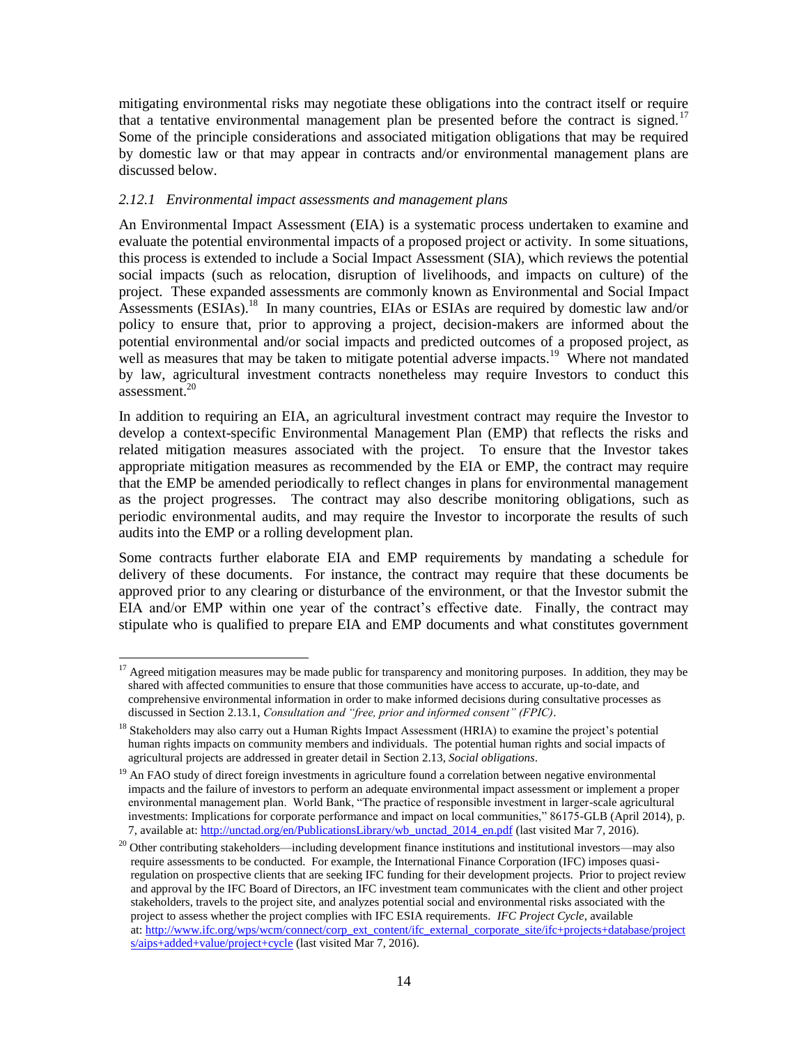mitigating environmental risks may negotiate these obligations into the contract itself or require that a tentative environmental management plan be presented before the contract is signed.<sup>17</sup> Some of the principle considerations and associated mitigation obligations that may be required by domestic law or that may appear in contracts and/or environmental management plans are discussed below.

## *2.12.1 Environmental impact assessments and management plans*

l

An Environmental Impact Assessment (EIA) is a systematic process undertaken to examine and evaluate the potential environmental impacts of a proposed project or activity. In some situations, this process is extended to include a Social Impact Assessment (SIA), which reviews the potential social impacts (such as relocation, disruption of livelihoods, and impacts on culture) of the project. These expanded assessments are commonly known as Environmental and Social Impact Assessments (ESIAs).<sup>18</sup> In many countries, EIAs or ESIAs are required by domestic law and/or policy to ensure that, prior to approving a project, decision-makers are informed about the potential environmental and/or social impacts and predicted outcomes of a proposed project, as well as measures that may be taken to mitigate potential adverse impacts.<sup>19</sup> Where not mandated by law, agricultural investment contracts nonetheless may require Investors to conduct this assessment. $20$ 

In addition to requiring an EIA, an agricultural investment contract may require the Investor to develop a context-specific Environmental Management Plan (EMP) that reflects the risks and related mitigation measures associated with the project. To ensure that the Investor takes appropriate mitigation measures as recommended by the EIA or EMP, the contract may require that the EMP be amended periodically to reflect changes in plans for environmental management as the project progresses. The contract may also describe monitoring obligations, such as periodic environmental audits, and may require the Investor to incorporate the results of such audits into the EMP or a rolling development plan.

Some contracts further elaborate EIA and EMP requirements by mandating a schedule for delivery of these documents. For instance, the contract may require that these documents be approved prior to any clearing or disturbance of the environment, or that the Investor submit the EIA and/or EMP within one year of the contract's effective date. Finally, the contract may stipulate who is qualified to prepare EIA and EMP documents and what constitutes government

<sup>&</sup>lt;sup>17</sup> Agreed mitigation measures may be made public for transparency and monitoring purposes. In addition, they may be shared with affected communities to ensure that those communities have access to accurate, up-to-date, and comprehensive environmental information in order to make informed decisions during consultative processes as discussed in Sectio[n 2.13.1,](#page-17-0) *[Consultation and "free, prior and informed consent" \(FPIC\)](#page-17-0)*.

<sup>&</sup>lt;sup>18</sup> Stakeholders may also carry out a Human Rights Impact Assessment (HRIA) to examine the project's potential human rights impacts on community members and individuals. The potential human rights and social impacts of agricultural projects are addressed in greater detail in Section [2.13,](#page-16-0) *[Social obligations](#page-16-0)*.

<sup>&</sup>lt;sup>19</sup> An FAO study of direct foreign investments in agriculture found a correlation between negative environmental impacts and the failure of investors to perform an adequate environmental impact assessment or implement a proper environmental management plan. World Bank, "The practice of responsible investment in larger-scale agricultural investments: Implications for corporate performance and impact on local communities," 86175-GLB (April 2014), p. 7, available at: [http://unctad.org/en/PublicationsLibrary/wb\\_unctad\\_2014\\_en.pdf](http://unctad.org/en/PublicationsLibrary/wb_unctad_2014_en.pdf) (last visited Mar 7, 2016).

 $20$  Other contributing stakeholders—including development finance institutions and institutional investors—may also require assessments to be conducted. For example, the International Finance Corporation (IFC) imposes quasiregulation on prospective clients that are seeking IFC funding for their development projects. Prior to project review and approval by the IFC Board of Directors, an IFC investment team communicates with the client and other project stakeholders, travels to the project site, and analyzes potential social and environmental risks associated with the project to assess whether the project complies with IFC ESIA requirements. *IFC Project Cycle*, available at: [http://www.ifc.org/wps/wcm/connect/corp\\_ext\\_content/ifc\\_external\\_corporate\\_site/ifc+projects+database/project](http://www.ifc.org/wps/wcm/connect/corp_ext_content/ifc_external_corporate_site/ifc+projects+database/projects/aips+added+value/project+cycle) [s/aips+added+value/project+cycle](http://www.ifc.org/wps/wcm/connect/corp_ext_content/ifc_external_corporate_site/ifc+projects+database/projects/aips+added+value/project+cycle) (last visited Mar 7, 2016).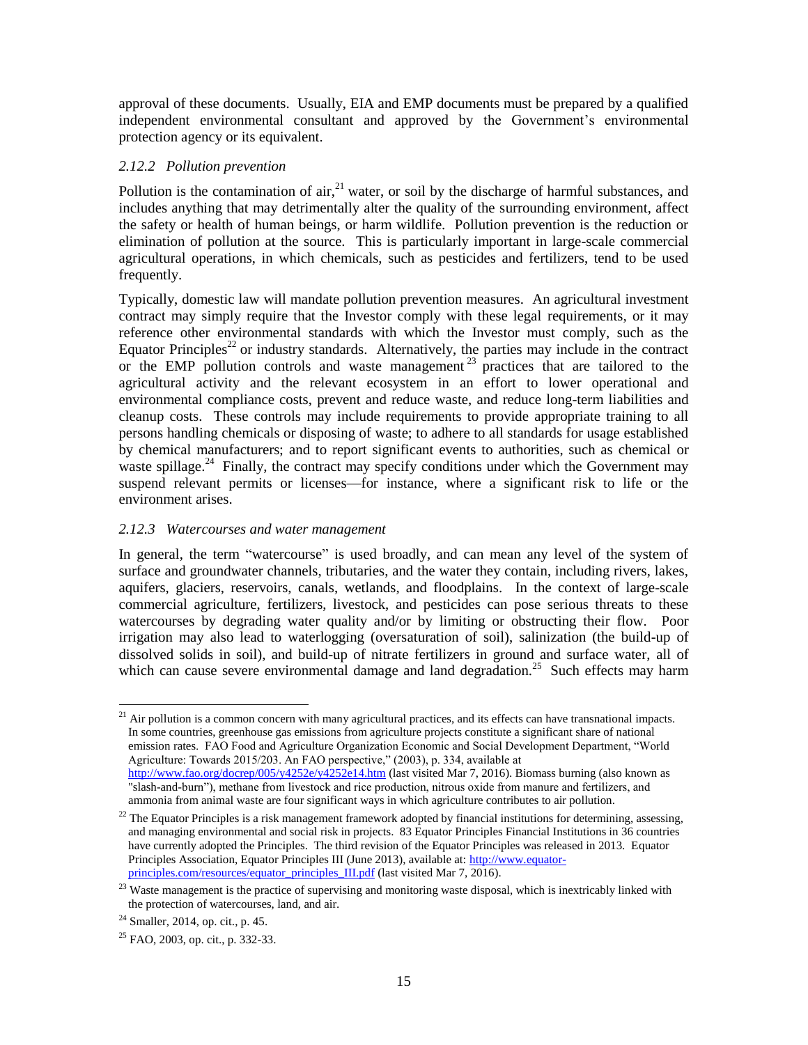approval of these documents. Usually, EIA and EMP documents must be prepared by a qualified independent environmental consultant and approved by the Government's environmental protection agency or its equivalent.

## *2.12.2 Pollution prevention*

Pollution is the contamination of air,  $2<sup>1</sup>$  water, or soil by the discharge of harmful substances, and includes anything that may detrimentally alter the quality of the surrounding environment, affect the safety or health of human beings, or harm wildlife. Pollution prevention is the reduction or elimination of pollution at the source. This is particularly important in large-scale commercial agricultural operations, in which chemicals, such as pesticides and fertilizers, tend to be used frequently.

Typically, domestic law will mandate pollution prevention measures. An agricultural investment contract may simply require that the Investor comply with these legal requirements, or it may reference other environmental standards with which the Investor must comply, such as the Equator Principles<sup>22</sup> or industry standards. Alternatively, the parties may include in the contract or the EMP pollution controls and waste management  $23$  practices that are tailored to the agricultural activity and the relevant ecosystem in an effort to lower operational and environmental compliance costs, prevent and reduce waste, and reduce long-term liabilities and cleanup costs. These controls may include requirements to provide appropriate training to all persons handling chemicals or disposing of waste; to adhere to all standards for usage established by chemical manufacturers; and to report significant events to authorities, such as chemical or waste spillage.<sup>24</sup> Finally, the contract may specify conditions under which the Government may suspend relevant permits or licenses—for instance, where a significant risk to life or the environment arises.

## *2.12.3 Watercourses and water management*

In general, the term "watercourse" is used broadly, and can mean any level of the system of surface and groundwater channels, tributaries, and the water they contain, including rivers, lakes, aquifers, glaciers, reservoirs, canals, wetlands, and floodplains. In the context of large-scale commercial agriculture, fertilizers, livestock, and pesticides can pose serious threats to these watercourses by degrading water quality and/or by limiting or obstructing their flow. Poor irrigation may also lead to waterlogging (oversaturation of soil), salinization (the build-up of dissolved solids in soil), and build-up of nitrate fertilizers in ground and surface water, all of which can cause severe environmental damage and land degradation.<sup>25</sup> Such effects may harm

 $\overline{\phantom{a}}$  $21$  Air pollution is a common concern with many agricultural practices, and its effects can have transnational impacts. In some countries, greenhouse gas emissions from agriculture projects constitute a significant share of national emission rates. FAO Food and Agriculture Organization Economic and Social Development Department, "World Agriculture: Towards 2015/203. An FAO perspective," (2003), p. 334, available at <http://www.fao.org/docrep/005/y4252e/y4252e14.htm> (last visited Mar 7, 2016). Biomass burning (also known as "slash-and-burn"), methane from livestock and rice production, nitrous oxide from manure and fertilizers, and ammonia from animal waste are four significant ways in which agriculture contributes to air pollution.

 $22$  The Equator Principles is a risk management framework adopted by financial institutions for determining, assessing, and managing environmental and social risk in projects. 83 Equator Principles Financial Institutions in 36 countries have currently adopted the Principles. The third revision of the Equator Principles was released in 2013. Equator Principles Association, Equator Principles III (June 2013), available at: [http://www.equator](http://www.equator-principles.com/resources/equator_principles_III.pdf)[principles.com/resources/equator\\_principles\\_III.pdf](http://www.equator-principles.com/resources/equator_principles_III.pdf) (last visited Mar 7, 2016).

<sup>&</sup>lt;sup>23</sup> Waste management is the practice of supervising and monitoring waste disposal, which is inextricably linked with the protection of watercourses, land, and air.

<sup>24</sup> Smaller, 2014, op. cit., p. 45.

<sup>25</sup> FAO, 2003, op. cit., p. 332-33.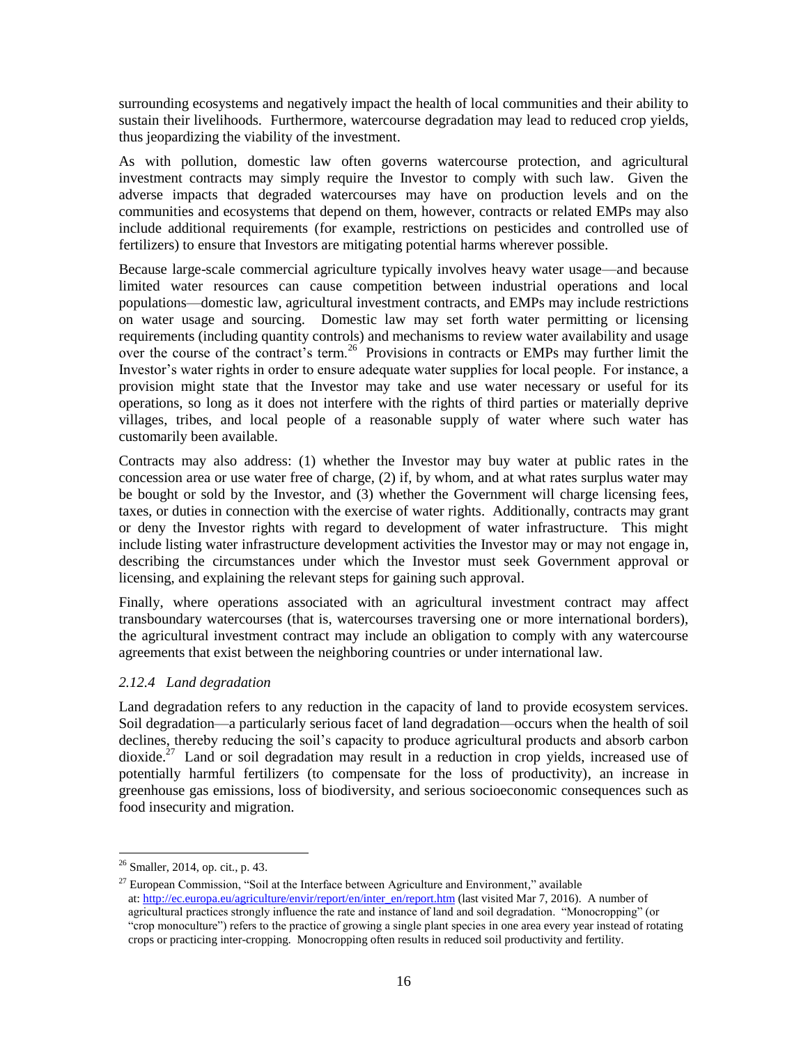surrounding ecosystems and negatively impact the health of local communities and their ability to sustain their livelihoods. Furthermore, watercourse degradation may lead to reduced crop yields, thus jeopardizing the viability of the investment.

As with pollution, domestic law often governs watercourse protection, and agricultural investment contracts may simply require the Investor to comply with such law. Given the adverse impacts that degraded watercourses may have on production levels and on the communities and ecosystems that depend on them, however, contracts or related EMPs may also include additional requirements (for example, restrictions on pesticides and controlled use of fertilizers) to ensure that Investors are mitigating potential harms wherever possible.

Because large-scale commercial agriculture typically involves heavy water usage—and because limited water resources can cause competition between industrial operations and local populations—domestic law, agricultural investment contracts, and EMPs may include restrictions on water usage and sourcing. Domestic law may set forth water permitting or licensing requirements (including quantity controls) and mechanisms to review water availability and usage over the course of the contract's term.<sup>26</sup> Provisions in contracts or EMPs may further limit the Investor's water rights in order to ensure adequate water supplies for local people. For instance, a provision might state that the Investor may take and use water necessary or useful for its operations, so long as it does not interfere with the rights of third parties or materially deprive villages, tribes, and local people of a reasonable supply of water where such water has customarily been available.

Contracts may also address: (1) whether the Investor may buy water at public rates in the concession area or use water free of charge, (2) if, by whom, and at what rates surplus water may be bought or sold by the Investor, and (3) whether the Government will charge licensing fees, taxes, or duties in connection with the exercise of water rights. Additionally, contracts may grant or deny the Investor rights with regard to development of water infrastructure. This might include listing water infrastructure development activities the Investor may or may not engage in, describing the circumstances under which the Investor must seek Government approval or licensing, and explaining the relevant steps for gaining such approval.

Finally, where operations associated with an agricultural investment contract may affect transboundary watercourses (that is, watercourses traversing one or more international borders), the agricultural investment contract may include an obligation to comply with any watercourse agreements that exist between the neighboring countries or under international law.

# *2.12.4 Land degradation*

Land degradation refers to any reduction in the capacity of land to provide ecosystem services. Soil degradation—a particularly serious facet of land degradation—occurs when the health of soil declines, thereby reducing the soil's capacity to produce agricultural products and absorb carbon dioxide.<sup>27</sup> Land or soil degradation may result in a reduction in crop yields, increased use of potentially harmful fertilizers (to compensate for the loss of productivity), an increase in greenhouse gas emissions, loss of biodiversity, and serious socioeconomic consequences such as food insecurity and migration.

 $\overline{\phantom{a}}$ 

 $26$  Smaller, 2014, op. cit., p. 43.

<sup>27</sup> European Commission, "Soil at the Interface between Agriculture and Environment*,*" available at: [http://ec.europa.eu/agriculture/envir/report/en/inter\\_en/report.htm](http://ec.europa.eu/agriculture/envir/report/en/inter_en/report.htm) (last visited Mar 7, 2016). A number of agricultural practices strongly influence the rate and instance of land and soil degradation. "Monocropping" (or "crop monoculture") refers to the practice of growing a single plant species in one area every year instead of rotating crops or practicing inter-cropping. Monocropping often results in reduced soil productivity and fertility.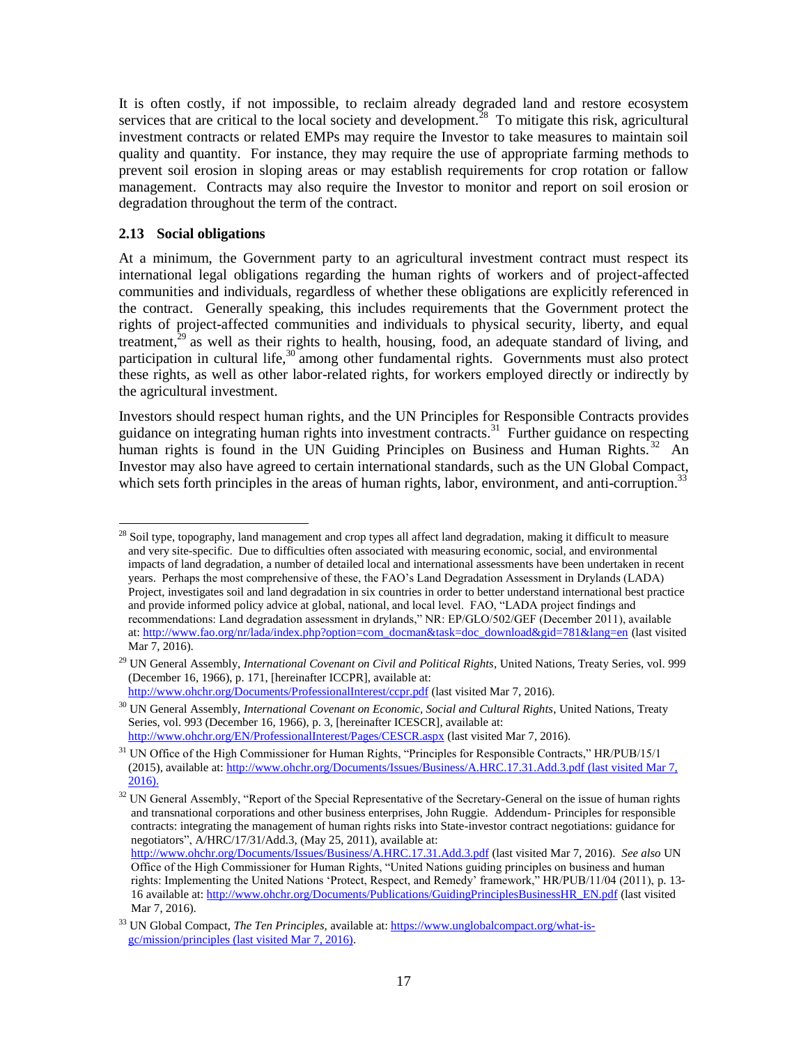It is often costly, if not impossible, to reclaim already degraded land and restore ecosystem services that are critical to the local society and development.<sup>28</sup> To mitigate this risk, agricultural investment contracts or related EMPs may require the Investor to take measures to maintain soil quality and quantity. For instance, they may require the use of appropriate farming methods to prevent soil erosion in sloping areas or may establish requirements for crop rotation or fallow management. Contracts may also require the Investor to monitor and report on soil erosion or degradation throughout the term of the contract.

#### <span id="page-16-0"></span>**2.13 Social obligations**

At a minimum, the Government party to an agricultural investment contract must respect its international legal obligations regarding the human rights of workers and of project-affected communities and individuals, regardless of whether these obligations are explicitly referenced in the contract. Generally speaking, this includes requirements that the Government protect the rights of project-affected communities and individuals to physical security, liberty, and equal treatment, $^{29}$  as well as their rights to health, housing, food, an adequate standard of living, and participation in cultural life, $30$  among other fundamental rights. Governments must also protect these rights, as well as other labor-related rights, for workers employed directly or indirectly by the agricultural investment.

Investors should respect human rights, and the UN Principles for Responsible Contracts provides guidance on integrating human rights into investment contracts.<sup>31</sup> Further guidance on respecting human rights is found in the UN Guiding Principles on Business and Human Rights.<sup>32</sup> An Investor may also have agreed to certain international standards, such as the UN Global Compact, which sets forth principles in the areas of human rights, labor, environment, and anti-corruption.<sup>33</sup>

l <sup>28</sup> Soil type, topography, land management and crop types all affect land degradation, making it difficult to measure and very site-specific. Due to difficulties often associated with measuring economic, social, and environmental impacts of land degradation, a number of detailed local and international assessments have been undertaken in recent years. Perhaps the most comprehensive of these, the FAO's Land Degradation Assessment in Drylands (LADA) Project, investigates soil and land degradation in six countries in order to better understand international best practice and provide informed policy advice at global, national, and local level. FAO, "LADA project findings and recommendations: Land degradation assessment in drylands," NR: EP/GLO/502/GEF (December 2011), available at: [http://www.fao.org/nr/lada/index.php?option=com\\_docman&task=doc\\_download&gid=781&lang=en](http://www.fao.org/nr/lada/index.php?option=com_docman&task=doc_download&gid=781&lang=en) (last visited Mar 7, 2016).

<sup>&</sup>lt;sup>29</sup> UN General Assembly, *International Covenant on Civil and Political Rights*, United Nations, Treaty Series, vol. 999 (December 16, 1966), p. 171, [hereinafter ICCPR], available at:

<http://www.ohchr.org/Documents/ProfessionalInterest/ccpr.pdf> (last visited Mar 7, 2016).

<sup>&</sup>lt;sup>30</sup> UN General Assembly, *International Covenant on Economic, Social and Cultural Rights*, United Nations, Treaty Series, vol. 993 (December 16, 1966), p. 3, [hereinafter ICESCR], available at: <http://www.ohchr.org/EN/ProfessionalInterest/Pages/CESCR.aspx> (last visited Mar 7, 2016).

<sup>&</sup>lt;sup>31</sup> UN Office of the High Commissioner for Human Rights, "Principles for Responsible Contracts," HR/PUB/15/1 (2015), available at[: http://www.ohchr.org/Documents/Issues/Business/A.HRC.17.31.Add.3.pdf](http://www.ohchr.org/Documents/Issues/Business/A.HRC.17.31.Add.3.pdf) (last visited Mar 7, 2016).

<sup>&</sup>lt;sup>32</sup> UN General Assembly, "Report of the Special Representative of the Secretary-General on the issue of human rights and transnational corporations and other business enterprises, John Ruggie. Addendum- Principles for responsible contracts: integrating the management of human rights risks into State-investor contract negotiations: guidance for negotiators", A/HRC/17/31/Add.3, (May 25, 2011), available at:

<http://www.ohchr.org/Documents/Issues/Business/A.HRC.17.31.Add.3.pdf> (last visited Mar 7, 2016). *See also* UN Office of the High Commissioner for Human Rights, "United Nations guiding principles on business and human rights: Implementing the United Nations 'Protect, Respect, and Remedy' framework," HR/PUB/11/04 (2011), p. 13- 16 available at[: http://www.ohchr.org/Documents/Publications/GuidingPrinciplesBusinessHR\\_EN.pdf](http://www.ohchr.org/Documents/Publications/GuidingPrinciplesBusinessHR_EN.pdf) (last visited Mar 7, 2016).

<sup>33</sup> UN Global Compact, *The Ten Principles,* available at: [https://www.unglobalcompact.org/what-is](https://www.unglobalcompact.org/what-is-gc/mission/principles)[gc/mission/principles](https://www.unglobalcompact.org/what-is-gc/mission/principles) (last visited Mar 7, 2016).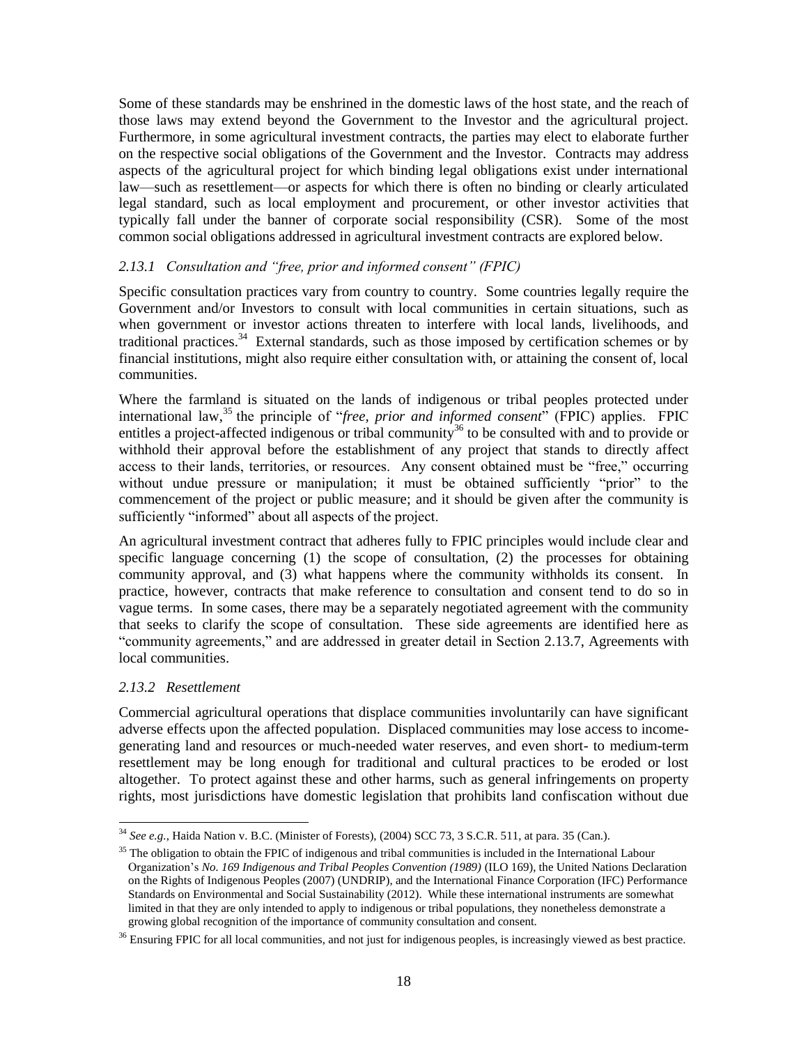Some of these standards may be enshrined in the domestic laws of the host state, and the reach of those laws may extend beyond the Government to the Investor and the agricultural project. Furthermore, in some agricultural investment contracts, the parties may elect to elaborate further on the respective social obligations of the Government and the Investor. Contracts may address aspects of the agricultural project for which binding legal obligations exist under international law—such as resettlement—or aspects for which there is often no binding or clearly articulated legal standard, such as local employment and procurement, or other investor activities that typically fall under the banner of corporate social responsibility (CSR). Some of the most common social obligations addressed in agricultural investment contracts are explored below.

## <span id="page-17-0"></span>*2.13.1 Consultation and "free, prior and informed consent" (FPIC)*

Specific consultation practices vary from country to country. Some countries legally require the Government and/or Investors to consult with local communities in certain situations, such as when government or investor actions threaten to interfere with local lands, livelihoods, and traditional practices.<sup>34</sup> External standards, such as those imposed by certification schemes or by financial institutions, might also require either consultation with, or attaining the consent of, local communities.

Where the farmland is situated on the lands of indigenous or tribal peoples protected under international law,<sup>35</sup> the principle of "*free, prior and informed consent*" (FPIC) applies. FPIC entitles a project-affected indigenous or tribal community<sup>36</sup> to be consulted with and to provide or withhold their approval before the establishment of any project that stands to directly affect access to their lands, territories, or resources. Any consent obtained must be "free," occurring without undue pressure or manipulation; it must be obtained sufficiently "prior" to the commencement of the project or public measure; and it should be given after the community is sufficiently "informed" about all aspects of the project.

An agricultural investment contract that adheres fully to FPIC principles would include clear and specific language concerning (1) the scope of consultation, (2) the processes for obtaining community approval, and (3) what happens where the community withholds its consent. In practice, however, contracts that make reference to consultation and consent tend to do so in vague terms. In some cases, there may be a separately negotiated agreement with the community that seeks to clarify the scope of consultation. These side agreements are identified here as "community agreements," and are addressed in greater detail in Section [2.13.7, Agreements with](#page-20-0)  [local communities.](#page-20-0)

#### *2.13.2 Resettlement*

 $\overline{\phantom{a}}$ 

Commercial agricultural operations that displace communities involuntarily can have significant adverse effects upon the affected population. Displaced communities may lose access to incomegenerating land and resources or much-needed water reserves, and even short- to medium-term resettlement may be long enough for traditional and cultural practices to be eroded or lost altogether. To protect against these and other harms, such as general infringements on property rights, most jurisdictions have domestic legislation that prohibits land confiscation without due

<sup>34</sup> *See e.g.*, Haida Nation v. B.C. (Minister of Forests), (2004) SCC 73, 3 S.C.R. 511, at para. 35 (Can.).

 $35$  The obligation to obtain the FPIC of indigenous and tribal communities is included in the International Labour Organization's *No. 169 Indigenous and Tribal Peoples Convention (1989)* (ILO 169), the United Nations Declaration on the Rights of Indigenous Peoples (2007) (UNDRIP), and the International Finance Corporation (IFC) Performance Standards on Environmental and Social Sustainability (2012). While these international instruments are somewhat limited in that they are only intended to apply to indigenous or tribal populations, they nonetheless demonstrate a growing global recognition of the importance of community consultation and consent.

 $36$  Ensuring FPIC for all local communities, and not just for indigenous peoples, is increasingly viewed as best practice.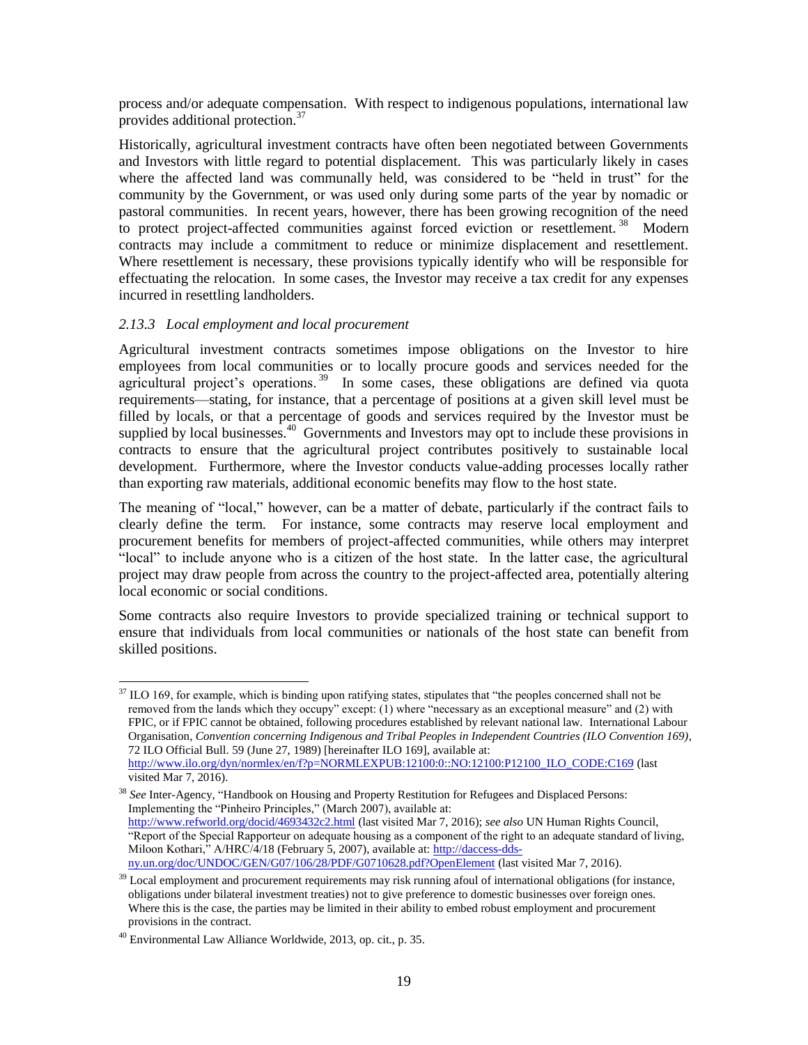process and/or adequate compensation. With respect to indigenous populations, international law provides additional protection.<sup>37</sup>

Historically, agricultural investment contracts have often been negotiated between Governments and Investors with little regard to potential displacement. This was particularly likely in cases where the affected land was communally held, was considered to be "held in trust" for the community by the Government, or was used only during some parts of the year by nomadic or pastoral communities. In recent years, however, there has been growing recognition of the need to protect project-affected communities against forced eviction or resettlement.<sup>38</sup> Modern contracts may include a commitment to reduce or minimize displacement and resettlement. Where resettlement is necessary, these provisions typically identify who will be responsible for effectuating the relocation. In some cases, the Investor may receive a tax credit for any expenses incurred in resettling landholders.

#### *2.13.3 Local employment and local procurement*

Agricultural investment contracts sometimes impose obligations on the Investor to hire employees from local communities or to locally procure goods and services needed for the agricultural project's operations.<sup>39</sup> In some cases, these obligations are defined via quota requirements—stating, for instance, that a percentage of positions at a given skill level must be filled by locals, or that a percentage of goods and services required by the Investor must be supplied by local businesses.<sup>40</sup> Governments and Investors may opt to include these provisions in contracts to ensure that the agricultural project contributes positively to sustainable local development. Furthermore, where the Investor conducts value-adding processes locally rather than exporting raw materials, additional economic benefits may flow to the host state.

The meaning of "local," however, can be a matter of debate, particularly if the contract fails to clearly define the term. For instance, some contracts may reserve local employment and procurement benefits for members of project-affected communities, while others may interpret "local" to include anyone who is a citizen of the host state. In the latter case, the agricultural project may draw people from across the country to the project-affected area, potentially altering local economic or social conditions.

Some contracts also require Investors to provide specialized training or technical support to ensure that individuals from local communities or nationals of the host state can benefit from skilled positions.

l

<sup>&</sup>lt;sup>37</sup> ILO 169, for example, which is binding upon ratifying states, stipulates that "the peoples concerned shall not be removed from the lands which they occupy" except: (1) where "necessary as an exceptional measure" and (2) with FPIC, or if FPIC cannot be obtained, following procedures established by relevant national law. International Labour Organisation, *Convention concerning Indigenous and Tribal Peoples in Independent Countries (ILO Convention 169)*, 72 ILO Official Bull. 59 (June 27, 1989) [hereinafter ILO 169], available at: [http://www.ilo.org/dyn/normlex/en/f?p=NORMLEXPUB:12100:0::NO:12100:P12100\\_ILO\\_CODE:C169](http://www.ilo.org/dyn/normlex/en/f?p=NORMLEXPUB:12100:0::NO:12100:P12100_ILO_CODE:C169) (last

visited Mar 7, 2016).

<sup>38</sup> *See* Inter-Agency, "Handbook on Housing and Property Restitution for Refugees and Displaced Persons: Implementing the "Pinheiro Principles," (March 2007), available at: <http://www.refworld.org/docid/4693432c2.html> (last visited Mar 7, 2016); *see also* UN Human Rights Council, "Report of the Special Rapporteur on adequate housing as a component of the right to an adequate standard of living, Miloon Kothari," A/HRC/4/18 (February 5, 2007), available at: [http://daccess-dds](http://daccess-dds-ny.un.org/doc/UNDOC/GEN/G07/106/28/PDF/G0710628.pdf?OpenElement)[ny.un.org/doc/UNDOC/GEN/G07/106/28/PDF/G0710628.pdf?OpenElement](http://daccess-dds-ny.un.org/doc/UNDOC/GEN/G07/106/28/PDF/G0710628.pdf?OpenElement) (last visited Mar 7, 2016).

<sup>&</sup>lt;sup>39</sup> Local employment and procurement requirements may risk running afoul of international obligations (for instance, obligations under bilateral investment treaties) not to give preference to domestic businesses over foreign ones. Where this is the case, the parties may be limited in their ability to embed robust employment and procurement provisions in the contract.

<sup>40</sup> Environmental Law Alliance Worldwide, 2013, op. cit., p. 35.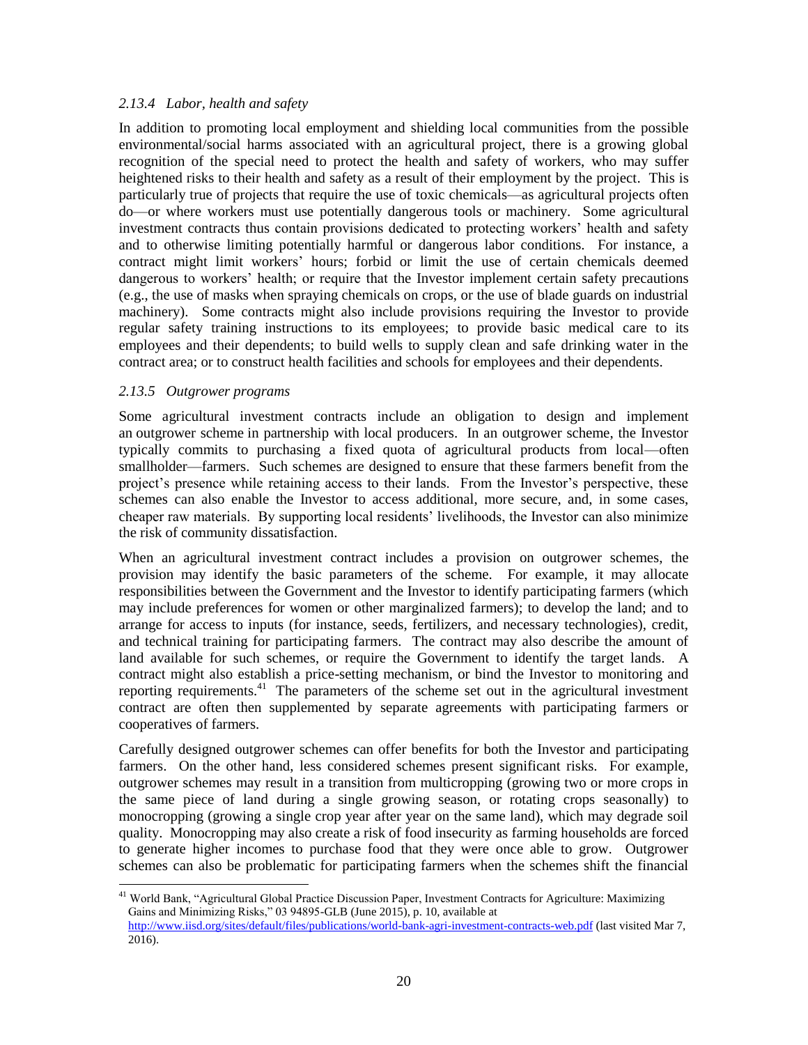## <span id="page-19-0"></span>*2.13.4 Labor, health and safety*

In addition to promoting local employment and shielding local communities from the possible environmental/social harms associated with an agricultural project, there is a growing global recognition of the special need to protect the health and safety of workers, who may suffer heightened risks to their health and safety as a result of their employment by the project. This is particularly true of projects that require the use of toxic chemicals—as agricultural projects often do—or where workers must use potentially dangerous tools or machinery. Some agricultural investment contracts thus contain provisions dedicated to protecting workers' health and safety and to otherwise limiting potentially harmful or dangerous labor conditions. For instance, a contract might limit workers' hours; forbid or limit the use of certain chemicals deemed dangerous to workers' health; or require that the Investor implement certain safety precautions (e.g., the use of masks when spraying chemicals on crops, or the use of blade guards on industrial machinery). Some contracts might also include provisions requiring the Investor to provide regular safety training instructions to its employees; to provide basic medical care to its employees and their dependents; to build wells to supply clean and safe drinking water in the contract area; or to construct health facilities and schools for employees and their dependents.

## *2.13.5 Outgrower programs*

l

Some agricultural investment contracts include an obligation to design and implement an outgrower scheme in partnership with local producers. In an outgrower scheme, the Investor typically commits to purchasing a fixed quota of agricultural products from local—often smallholder—farmers. Such schemes are designed to ensure that these farmers benefit from the project's presence while retaining access to their lands. From the Investor's perspective, these schemes can also enable the Investor to access additional, more secure, and, in some cases, cheaper raw materials. By supporting local residents' livelihoods, the Investor can also minimize the risk of community dissatisfaction.

When an agricultural investment contract includes a provision on outgrower schemes, the provision may identify the basic parameters of the scheme. For example, it may allocate responsibilities between the Government and the Investor to identify participating farmers (which may include preferences for women or other marginalized farmers); to develop the land; and to arrange for access to inputs (for instance, seeds, fertilizers, and necessary technologies), credit, and technical training for participating farmers. The contract may also describe the amount of land available for such schemes, or require the Government to identify the target lands. A contract might also establish a price-setting mechanism, or bind the Investor to monitoring and reporting requirements.<sup>41</sup> The parameters of the scheme set out in the agricultural investment contract are often then supplemented by separate agreements with participating farmers or cooperatives of farmers.

Carefully designed outgrower schemes can offer benefits for both the Investor and participating farmers. On the other hand, less considered schemes present significant risks. For example, outgrower schemes may result in a transition from multicropping (growing two or more crops in the same piece of land during a single growing season, or rotating crops seasonally) to monocropping (growing a single crop year after year on the same land), which may degrade soil quality. Monocropping may also create a risk of food insecurity as farming households are forced to generate higher incomes to purchase food that they were once able to grow. Outgrower schemes can also be problematic for participating farmers when the schemes shift the financial

<sup>&</sup>lt;sup>41</sup> World Bank, "Agricultural Global Practice Discussion Paper, Investment Contracts for Agriculture: Maximizing Gains and Minimizing Risks," 03 94895-GLB (June 2015), p. 10, available at <http://www.iisd.org/sites/default/files/publications/world-bank-agri-investment-contracts-web.pdf> (last visited Mar 7, 2016).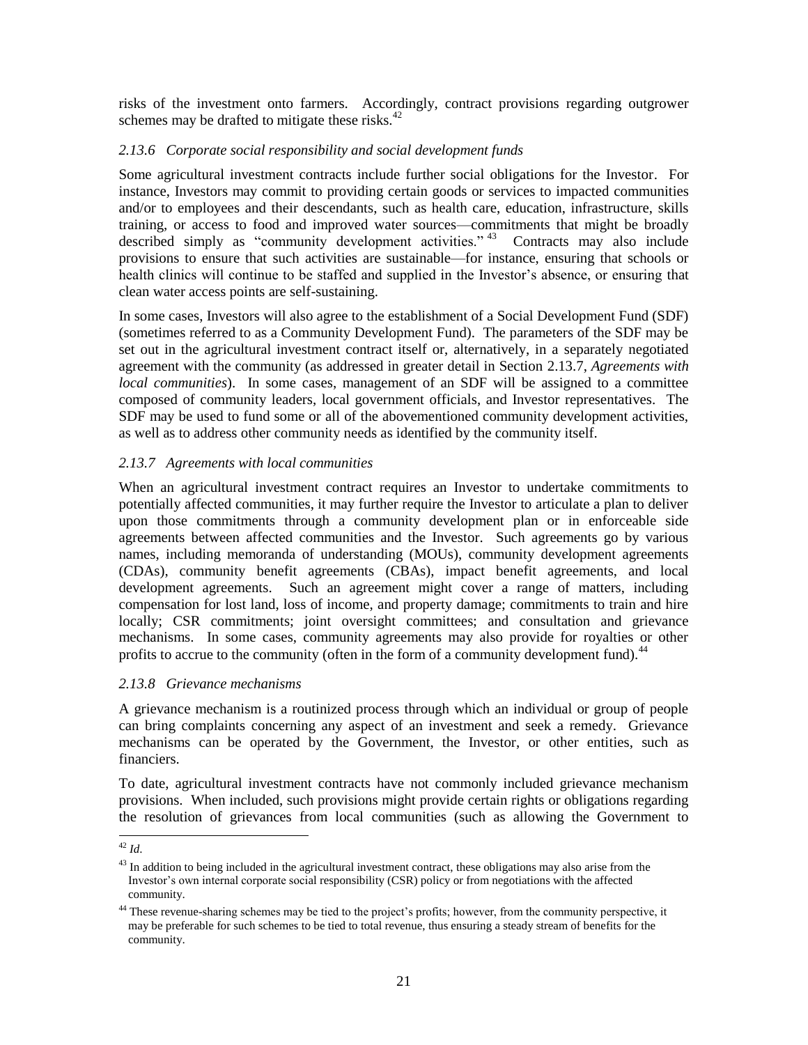risks of the investment onto farmers. Accordingly, contract provisions regarding outgrower schemes may be drafted to mitigate these risks.<sup>42</sup>

## *2.13.6 Corporate social responsibility and social development funds*

Some agricultural investment contracts include further social obligations for the Investor. For instance, Investors may commit to providing certain goods or services to impacted communities and/or to employees and their descendants, such as health care, education, infrastructure, skills training, or access to food and improved water sources—commitments that might be broadly described simply as "community development activities."<sup>43</sup> Contracts may also include provisions to ensure that such activities are sustainable—for instance, ensuring that schools or health clinics will continue to be staffed and supplied in the Investor's absence, or ensuring that clean water access points are self-sustaining.

In some cases, Investors will also agree to the establishment of a Social Development Fund (SDF) (sometimes referred to as a Community Development Fund). The parameters of the SDF may be set out in the agricultural investment contract itself or, alternatively, in a separately negotiated agreement with the community (as addressed in greater detail in Section [2.13.7,](#page-20-0) *[Agreements with](#page-20-0)  [local communities](#page-20-0)*). In some cases, management of an SDF will be assigned to a committee composed of community leaders, local government officials, and Investor representatives. The SDF may be used to fund some or all of the abovementioned community development activities, as well as to address other community needs as identified by the community itself.

## <span id="page-20-0"></span>*2.13.7 Agreements with local communities*

When an agricultural investment contract requires an Investor to undertake commitments to potentially affected communities, it may further require the Investor to articulate a plan to deliver upon those commitments through a community development plan or in enforceable side agreements between affected communities and the Investor. Such agreements go by various names, including memoranda of understanding (MOUs), community development agreements (CDAs), community benefit agreements (CBAs), impact benefit agreements, and local development agreements. Such an agreement might cover a range of matters, including compensation for lost land, loss of income, and property damage; commitments to train and hire locally; CSR commitments; joint oversight committees; and consultation and grievance mechanisms. In some cases, community agreements may also provide for royalties or other profits to accrue to the community (often in the form of a community development fund).<sup>44</sup>

#### *2.13.8 Grievance mechanisms*

A grievance mechanism is a routinized process through which an individual or group of people can bring complaints concerning any aspect of an investment and seek a remedy. Grievance mechanisms can be operated by the Government, the Investor, or other entities, such as financiers.

To date, agricultural investment contracts have not commonly included grievance mechanism provisions. When included, such provisions might provide certain rights or obligations regarding the resolution of grievances from local communities (such as allowing the Government to

l <sup>42</sup> *Id*.

 $43$  In addition to being included in the agricultural investment contract, these obligations may also arise from the Investor's own internal corporate social responsibility (CSR) policy or from negotiations with the affected community.

<sup>&</sup>lt;sup>44</sup> These revenue-sharing schemes may be tied to the project's profits; however, from the community perspective, it may be preferable for such schemes to be tied to total revenue, thus ensuring a steady stream of benefits for the community.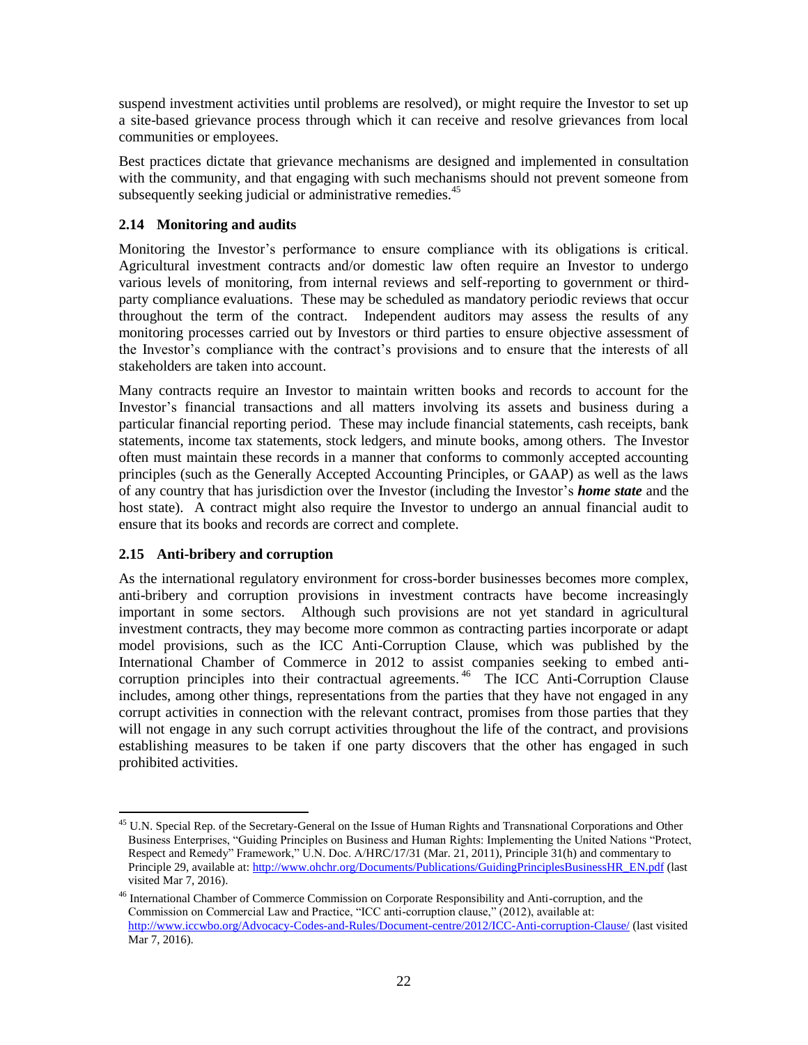suspend investment activities until problems are resolved), or might require the Investor to set up a site-based grievance process through which it can receive and resolve grievances from local communities or employees.

Best practices dictate that grievance mechanisms are designed and implemented in consultation with the community, and that engaging with such mechanisms should not prevent someone from subsequently seeking judicial or administrative remedies.<sup>45</sup>

# <span id="page-21-0"></span>**2.14 Monitoring and audits**

Monitoring the Investor's performance to ensure compliance with its obligations is critical. Agricultural investment contracts and/or domestic law often require an Investor to undergo various levels of monitoring, from internal reviews and self-reporting to government or thirdparty compliance evaluations. These may be scheduled as mandatory periodic reviews that occur throughout the term of the contract. Independent auditors may assess the results of any monitoring processes carried out by Investors or third parties to ensure objective assessment of the Investor's compliance with the contract's provisions and to ensure that the interests of all stakeholders are taken into account.

Many contracts require an Investor to maintain written books and records to account for the Investor's financial transactions and all matters involving its assets and business during a particular financial reporting period. These may include financial statements, cash receipts, bank statements, income tax statements, stock ledgers, and minute books, among others. The Investor often must maintain these records in a manner that conforms to commonly accepted accounting principles (such as the Generally Accepted Accounting Principles, or GAAP) as well as the laws of any country that has jurisdiction over the Investor (including the Investor's *home state* and the host state). A contract might also require the Investor to undergo an annual financial audit to ensure that its books and records are correct and complete.

# **2.15 Anti-bribery and corruption**

 $\overline{\phantom{a}}$ 

As the international regulatory environment for cross-border businesses becomes more complex, anti-bribery and corruption provisions in investment contracts have become increasingly important in some sectors. Although such provisions are not yet standard in agricultural investment contracts, they may become more common as contracting parties incorporate or adapt model provisions, such as the ICC Anti-Corruption Clause, which was published by the International Chamber of Commerce in 2012 to assist companies seeking to embed anticorruption principles into their contractual agreements.<sup>46</sup> The ICC Anti-Corruption Clause includes, among other things, representations from the parties that they have not engaged in any corrupt activities in connection with the relevant contract, promises from those parties that they will not engage in any such corrupt activities throughout the life of the contract, and provisions establishing measures to be taken if one party discovers that the other has engaged in such prohibited activities.

<sup>&</sup>lt;sup>45</sup> U.N. Special Rep. of the Secretary-General on the Issue of Human Rights and Transnational Corporations and Other Business Enterprises, "Guiding Principles on Business and Human Rights: Implementing the United Nations "Protect, Respect and Remedy" Framework," U.N. Doc. A/HRC/17/31 (Mar. 21, 2011), Principle 31(h) and commentary to Principle 29, available at[: http://www.ohchr.org/Documents/Publications/GuidingPrinciplesBusinessHR\\_EN.pdf](http://www.ohchr.org/Documents/Publications/GuidingPrinciplesBusinessHR_EN.pdf) (last visited Mar 7, 2016).

<sup>46</sup> International Chamber of Commerce Commission on Corporate Responsibility and Anti-corruption, and the Commission on Commercial Law and Practice, "ICC anti-corruption clause," (2012), available at: <http://www.iccwbo.org/Advocacy-Codes-and-Rules/Document-centre/2012/ICC-Anti-corruption-Clause/> (last visited Mar 7, 2016).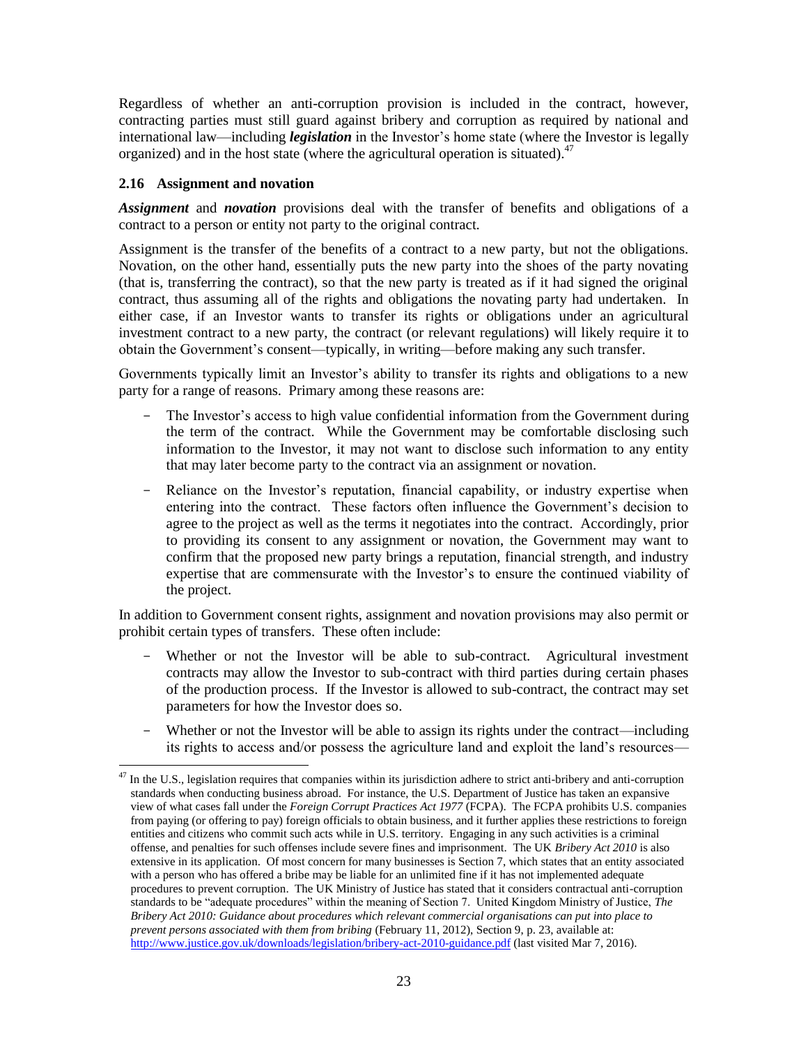Regardless of whether an anti-corruption provision is included in the contract, however, contracting parties must still guard against bribery and corruption as required by national and international law—including *legislation* in the Investor's home state (where the Investor is legally organized) and in the host state (where the agricultural operation is situated). $47$ 

## **2.16 Assignment and novation**

l

*Assignment* and *novation* provisions deal with the transfer of benefits and obligations of a contract to a person or entity not party to the original contract.

Assignment is the transfer of the benefits of a contract to a new party, but not the obligations. Novation, on the other hand, essentially puts the new party into the shoes of the party novating (that is, transferring the contract), so that the new party is treated as if it had signed the original contract, thus assuming all of the rights and obligations the novating party had undertaken. In either case, if an Investor wants to transfer its rights or obligations under an agricultural investment contract to a new party, the contract (or relevant regulations) will likely require it to obtain the Government's consent—typically, in writing—before making any such transfer.

Governments typically limit an Investor's ability to transfer its rights and obligations to a new party for a range of reasons. Primary among these reasons are:

- The Investor's access to high value confidential information from the Government during the term of the contract. While the Government may be comfortable disclosing such information to the Investor, it may not want to disclose such information to any entity that may later become party to the contract via an assignment or novation.
- Reliance on the Investor's reputation, financial capability, or industry expertise when entering into the contract. These factors often influence the Government's decision to agree to the project as well as the terms it negotiates into the contract. Accordingly, prior to providing its consent to any assignment or novation, the Government may want to confirm that the proposed new party brings a reputation, financial strength, and industry expertise that are commensurate with the Investor's to ensure the continued viability of the project.

In addition to Government consent rights, assignment and novation provisions may also permit or prohibit certain types of transfers. These often include:

- Whether or not the Investor will be able to sub-contract. Agricultural investment contracts may allow the Investor to sub-contract with third parties during certain phases of the production process. If the Investor is allowed to sub-contract, the contract may set parameters for how the Investor does so.
- Whether or not the Investor will be able to assign its rights under the contract—including its rights to access and/or possess the agriculture land and exploit the land's resources—

In the U.S., legislation requires that companies within its jurisdiction adhere to strict anti-bribery and anti-corruption standards when conducting business abroad. For instance, the U.S. Department of Justice has taken an expansive view of what cases fall under the *Foreign Corrupt Practices Act 1977* (FCPA). The FCPA prohibits U.S. companies from paying (or offering to pay) foreign officials to obtain business, and it further applies these restrictions to foreign entities and citizens who commit such acts while in U.S. territory. Engaging in any such activities is a criminal offense, and penalties for such offenses include severe fines and imprisonment. The UK *Bribery Act 2010* is also extensive in its application. Of most concern for many businesses is Section 7, which states that an entity associated with a person who has offered a bribe may be liable for an unlimited fine if it has not implemented adequate procedures to prevent corruption. The UK Ministry of Justice has stated that it considers contractual anti-corruption standards to be "adequate procedures" within the meaning of Section 7. United Kingdom Ministry of Justice, *The Bribery Act 2010: Guidance about procedures which relevant commercial organisations can put into place to prevent persons associated with them from bribing* (February 11, 2012), Section 9, p. 23, available at: <http://www.justice.gov.uk/downloads/legislation/bribery-act-2010-guidance.pdf> (last visited Mar 7, 2016).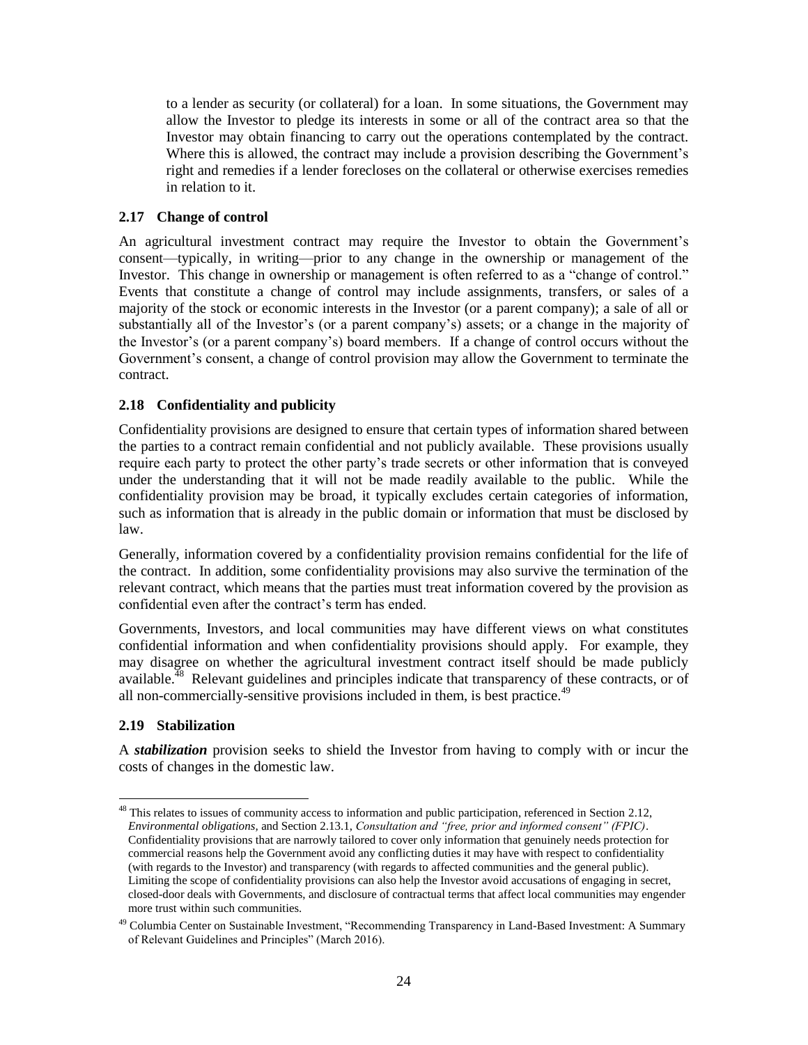to a lender as security (or collateral) for a loan. In some situations, the Government may allow the Investor to pledge its interests in some or all of the contract area so that the Investor may obtain financing to carry out the operations contemplated by the contract. Where this is allowed, the contract may include a provision describing the Government's right and remedies if a lender forecloses on the collateral or otherwise exercises remedies in relation to it.

## **2.17 Change of control**

An agricultural investment contract may require the Investor to obtain the Government's consent—typically, in writing—prior to any change in the ownership or management of the Investor. This change in ownership or management is often referred to as a "change of control." Events that constitute a change of control may include assignments, transfers, or sales of a majority of the stock or economic interests in the Investor (or a parent company); a sale of all or substantially all of the Investor's (or a parent company's) assets; or a change in the majority of the Investor's (or a parent company's) board members. If a change of control occurs without the Government's consent, a change of control provision may allow the Government to terminate the contract.

## **2.18 Confidentiality and publicity**

Confidentiality provisions are designed to ensure that certain types of information shared between the parties to a contract remain confidential and not publicly available. These provisions usually require each party to protect the other party's trade secrets or other information that is conveyed under the understanding that it will not be made readily available to the public. While the confidentiality provision may be broad, it typically excludes certain categories of information, such as information that is already in the public domain or information that must be disclosed by law.

Generally, information covered by a confidentiality provision remains confidential for the life of the contract. In addition, some confidentiality provisions may also survive the termination of the relevant contract, which means that the parties must treat information covered by the provision as confidential even after the contract's term has ended.

Governments, Investors, and local communities may have different views on what constitutes confidential information and when confidentiality provisions should apply. For example, they may disagree on whether the agricultural investment contract itself should be made publicly available.<sup>48</sup> Relevant guidelines and principles indicate that transparency of these contracts, or of all non-commercially-sensitive provisions included in them, is best practice.<sup>49</sup>

# **2.19 Stabilization**

A *stabilization* provision seeks to shield the Investor from having to comply with or incur the costs of changes in the domestic law.

l <sup>48</sup> This relates to issues of community access to information and public participation, referenced in Section [2.12,](#page-12-0) *[Environmental obligations,](#page-12-0)* and Sectio[n 2.13.1,](#page-17-0) *[Consultation and "free, prior and informed consent" \(FPIC\)](#page-17-0)*. Confidentiality provisions that are narrowly tailored to cover only information that genuinely needs protection for commercial reasons help the Government avoid any conflicting duties it may have with respect to confidentiality (with regards to the Investor) and transparency (with regards to affected communities and the general public). Limiting the scope of confidentiality provisions can also help the Investor avoid accusations of engaging in secret, closed-door deals with Governments, and disclosure of contractual terms that affect local communities may engender more trust within such communities.

<sup>&</sup>lt;sup>49</sup> Columbia Center on Sustainable Investment, "Recommending Transparency in Land-Based Investment: A Summary of Relevant Guidelines and Principles" (March 2016).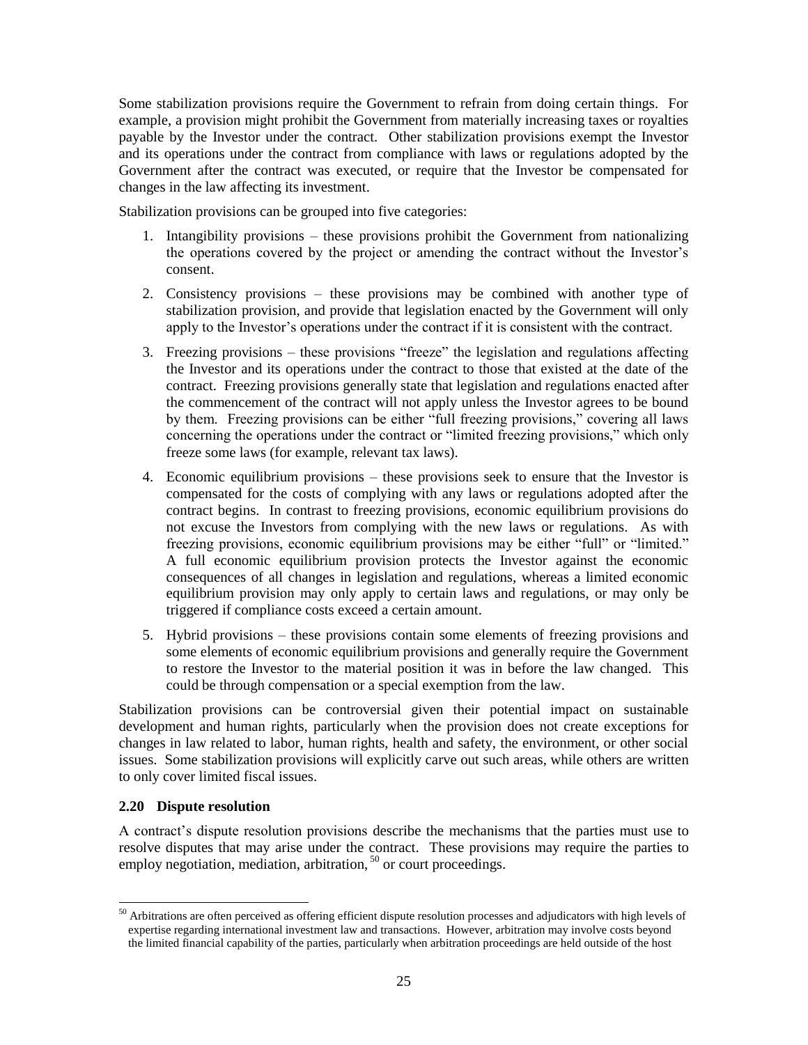Some stabilization provisions require the Government to refrain from doing certain things. For example, a provision might prohibit the Government from materially increasing taxes or royalties payable by the Investor under the contract. Other stabilization provisions exempt the Investor and its operations under the contract from compliance with laws or regulations adopted by the Government after the contract was executed, or require that the Investor be compensated for changes in the law affecting its investment.

Stabilization provisions can be grouped into five categories:

- 1. Intangibility provisions these provisions prohibit the Government from nationalizing the operations covered by the project or amending the contract without the Investor's consent.
- 2. Consistency provisions these provisions may be combined with another type of stabilization provision, and provide that legislation enacted by the Government will only apply to the Investor's operations under the contract if it is consistent with the contract.
- 3. Freezing provisions these provisions "freeze" the legislation and regulations affecting the Investor and its operations under the contract to those that existed at the date of the contract. Freezing provisions generally state that legislation and regulations enacted after the commencement of the contract will not apply unless the Investor agrees to be bound by them. Freezing provisions can be either "full freezing provisions," covering all laws concerning the operations under the contract or "limited freezing provisions," which only freeze some laws (for example, relevant tax laws).
- 4. Economic equilibrium provisions these provisions seek to ensure that the Investor is compensated for the costs of complying with any laws or regulations adopted after the contract begins. In contrast to freezing provisions, economic equilibrium provisions do not excuse the Investors from complying with the new laws or regulations. As with freezing provisions, economic equilibrium provisions may be either "full" or "limited." A full economic equilibrium provision protects the Investor against the economic consequences of all changes in legislation and regulations, whereas a limited economic equilibrium provision may only apply to certain laws and regulations, or may only be triggered if compliance costs exceed a certain amount.
- 5. Hybrid provisions these provisions contain some elements of freezing provisions and some elements of economic equilibrium provisions and generally require the Government to restore the Investor to the material position it was in before the law changed. This could be through compensation or a special exemption from the law.

Stabilization provisions can be controversial given their potential impact on sustainable development and human rights, particularly when the provision does not create exceptions for changes in law related to labor, human rights, health and safety, the environment, or other social issues. Some stabilization provisions will explicitly carve out such areas, while others are written to only cover limited fiscal issues.

#### **2.20 Dispute resolution**

 $\overline{a}$ 

A contract's dispute resolution provisions describe the mechanisms that the parties must use to resolve disputes that may arise under the contract. These provisions may require the parties to employ negotiation, mediation, arbitration,  $50$  or court proceedings.

 $50$  Arbitrations are often perceived as offering efficient dispute resolution processes and adjudicators with high levels of expertise regarding international investment law and transactions. However, arbitration may involve costs beyond the limited financial capability of the parties, particularly when arbitration proceedings are held outside of the host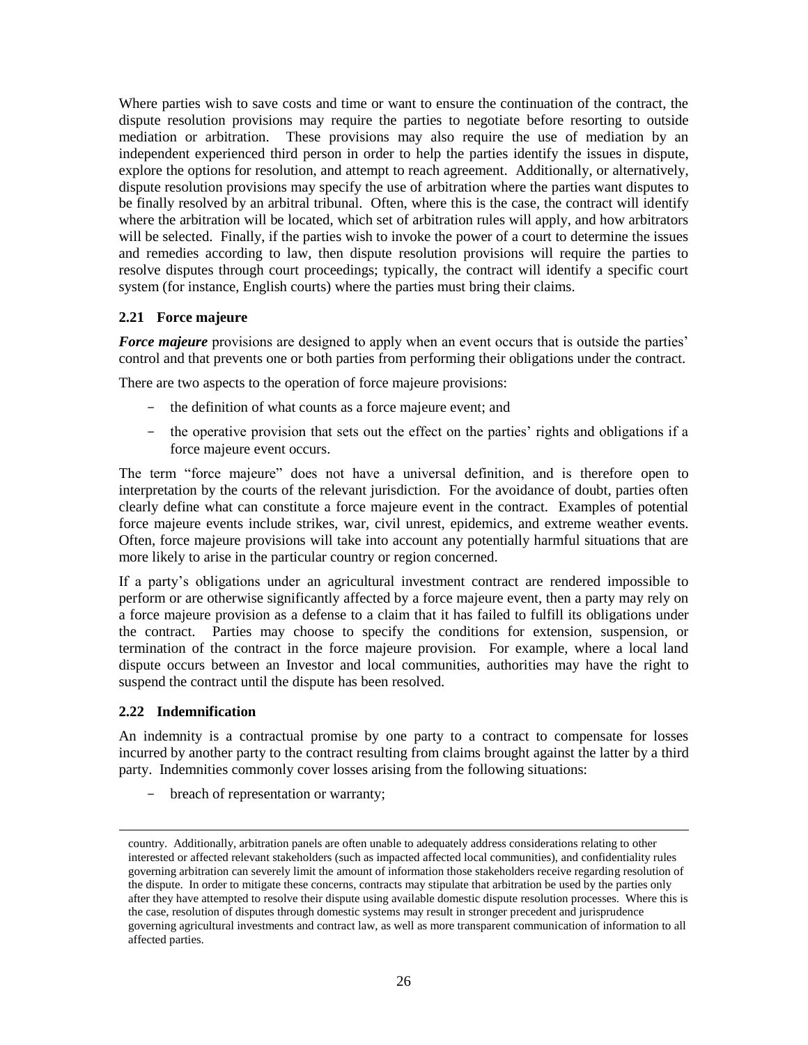Where parties wish to save costs and time or want to ensure the continuation of the contract, the dispute resolution provisions may require the parties to negotiate before resorting to outside mediation or arbitration. These provisions may also require the use of mediation by an independent experienced third person in order to help the parties identify the issues in dispute, explore the options for resolution, and attempt to reach agreement. Additionally, or alternatively, dispute resolution provisions may specify the use of arbitration where the parties want disputes to be finally resolved by an arbitral tribunal. Often, where this is the case, the contract will identify where the arbitration will be located, which set of arbitration rules will apply, and how arbitrators will be selected. Finally, if the parties wish to invoke the power of a court to determine the issues and remedies according to law, then dispute resolution provisions will require the parties to resolve disputes through court proceedings; typically, the contract will identify a specific court system (for instance, English courts) where the parties must bring their claims.

## **2.21 Force majeure**

**Force majeure** provisions are designed to apply when an event occurs that is outside the parties' control and that prevents one or both parties from performing their obligations under the contract.

There are two aspects to the operation of force majeure provisions:

- the definition of what counts as a force majeure event; and
- the operative provision that sets out the effect on the parties' rights and obligations if a force majeure event occurs.

The term "force majeure" does not have a universal definition, and is therefore open to interpretation by the courts of the relevant jurisdiction. For the avoidance of doubt, parties often clearly define what can constitute a force majeure event in the contract. Examples of potential force majeure events include strikes, war, civil unrest, epidemics, and extreme weather events. Often, force majeure provisions will take into account any potentially harmful situations that are more likely to arise in the particular country or region concerned.

If a party's obligations under an agricultural investment contract are rendered impossible to perform or are otherwise significantly affected by a force majeure event, then a party may rely on a force majeure provision as a defense to a claim that it has failed to fulfill its obligations under the contract. Parties may choose to specify the conditions for extension, suspension, or termination of the contract in the force majeure provision. For example, where a local land dispute occurs between an Investor and local communities, authorities may have the right to suspend the contract until the dispute has been resolved.

#### **2.22 Indemnification**

 $\overline{\phantom{a}}$ 

An indemnity is a contractual promise by one party to a contract to compensate for losses incurred by another party to the contract resulting from claims brought against the latter by a third party. Indemnities commonly cover losses arising from the following situations:

- breach of representation or warranty;

country. Additionally, arbitration panels are often unable to adequately address considerations relating to other interested or affected relevant stakeholders (such as impacted affected local communities), and confidentiality rules governing arbitration can severely limit the amount of information those stakeholders receive regarding resolution of the dispute. In order to mitigate these concerns, contracts may stipulate that arbitration be used by the parties only after they have attempted to resolve their dispute using available domestic dispute resolution processes. Where this is the case, resolution of disputes through domestic systems may result in stronger precedent and jurisprudence governing agricultural investments and contract law, as well as more transparent communication of information to all affected parties.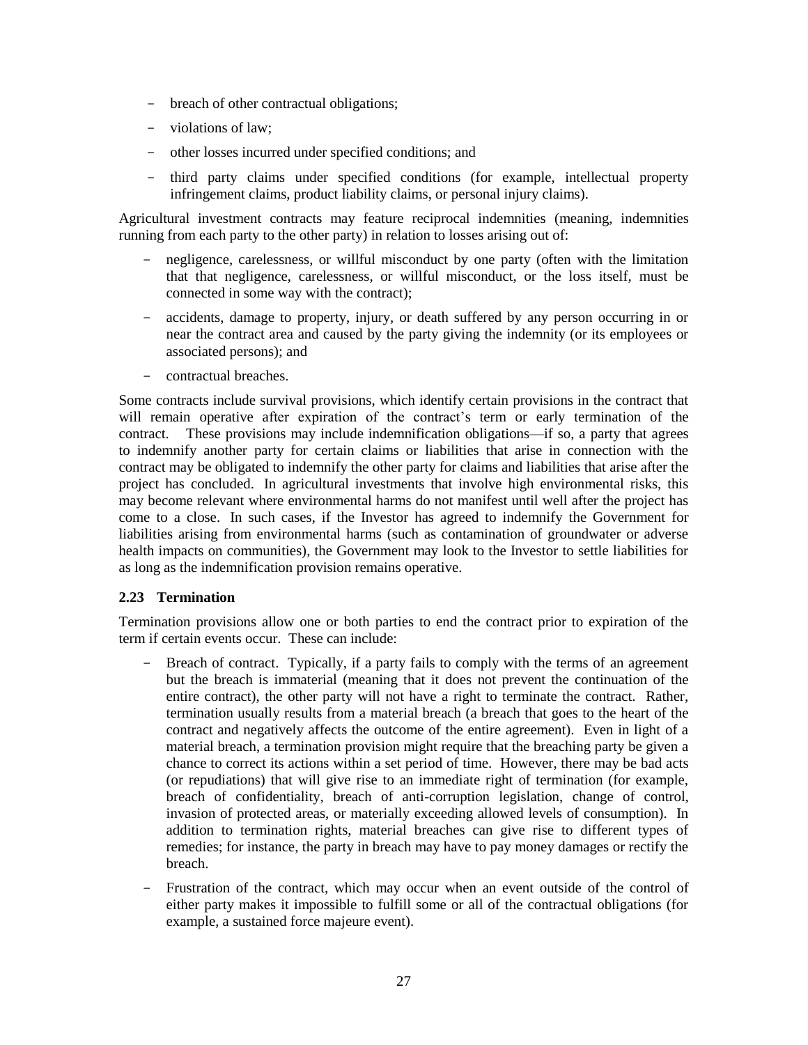- breach of other contractual obligations;
- violations of law;
- other losses incurred under specified conditions; and
- third party claims under specified conditions (for example, intellectual property infringement claims, product liability claims, or personal injury claims).

Agricultural investment contracts may feature reciprocal indemnities (meaning, indemnities running from each party to the other party) in relation to losses arising out of:

- negligence, carelessness, or willful misconduct by one party (often with the limitation that that negligence, carelessness, or willful misconduct, or the loss itself, must be connected in some way with the contract);
- accidents, damage to property, injury, or death suffered by any person occurring in or near the contract area and caused by the party giving the indemnity (or its employees or associated persons); and
- contractual breaches.

Some contracts include survival provisions, which identify certain provisions in the contract that will remain operative after expiration of the contract's term or early termination of the contract. These provisions may include indemnification obligations—if so, a party that agrees to indemnify another party for certain claims or liabilities that arise in connection with the contract may be obligated to indemnify the other party for claims and liabilities that arise after the project has concluded. In agricultural investments that involve high environmental risks, this may become relevant where environmental harms do not manifest until well after the project has come to a close. In such cases, if the Investor has agreed to indemnify the Government for liabilities arising from environmental harms (such as contamination of groundwater or adverse health impacts on communities), the Government may look to the Investor to settle liabilities for as long as the indemnification provision remains operative.

#### <span id="page-26-0"></span>**2.23 Termination**

Termination provisions allow one or both parties to end the contract prior to expiration of the term if certain events occur. These can include:

- Breach of contract. Typically, if a party fails to comply with the terms of an agreement but the breach is immaterial (meaning that it does not prevent the continuation of the entire contract), the other party will not have a right to terminate the contract. Rather, termination usually results from a material breach (a breach that goes to the heart of the contract and negatively affects the outcome of the entire agreement). Even in light of a material breach, a termination provision might require that the breaching party be given a chance to correct its actions within a set period of time. However, there may be bad acts (or repudiations) that will give rise to an immediate right of termination (for example, breach of confidentiality, breach of anti-corruption legislation, change of control, invasion of protected areas, or materially exceeding allowed levels of consumption). In addition to termination rights, material breaches can give rise to different types of remedies; for instance, the party in breach may have to pay money damages or rectify the breach.
- Frustration of the contract, which may occur when an event outside of the control of either party makes it impossible to fulfill some or all of the contractual obligations (for example, a sustained force majeure event).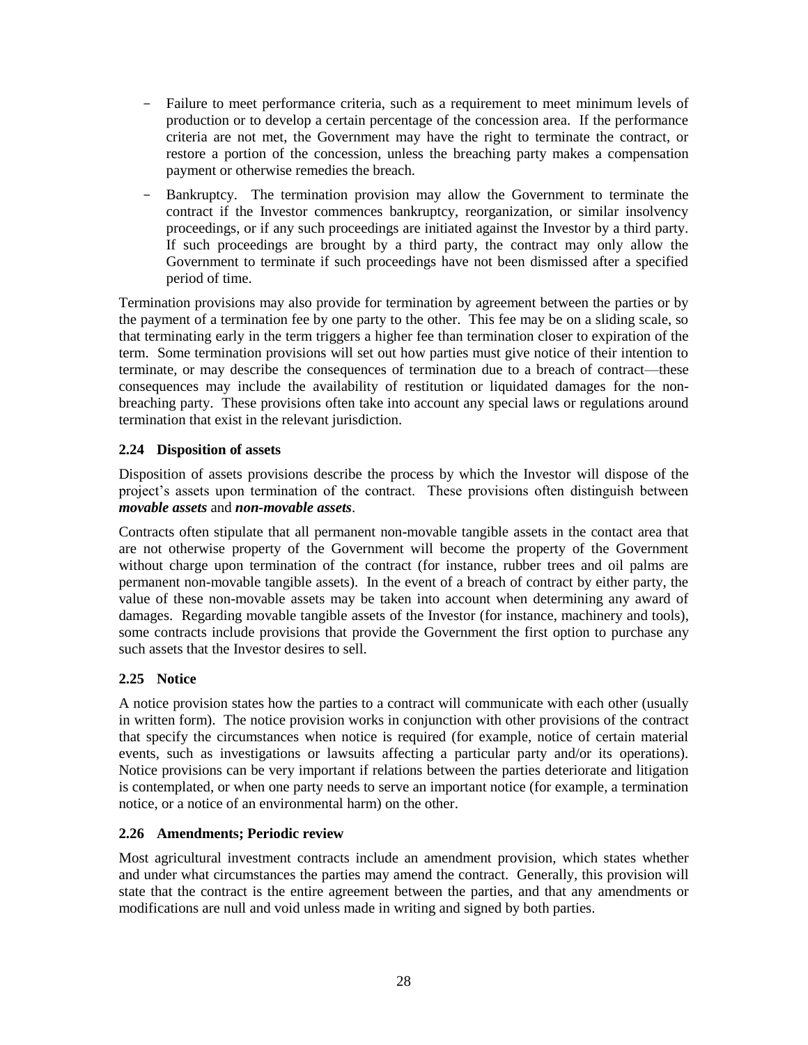- Failure to meet performance criteria, such as a requirement to meet minimum levels of production or to develop a certain percentage of the concession area. If the performance criteria are not met, the Government may have the right to terminate the contract, or restore a portion of the concession, unless the breaching party makes a compensation payment or otherwise remedies the breach.
- Bankruptcy. The termination provision may allow the Government to terminate the contract if the Investor commences bankruptcy, reorganization, or similar insolvency proceedings, or if any such proceedings are initiated against the Investor by a third party. If such proceedings are brought by a third party, the contract may only allow the Government to terminate if such proceedings have not been dismissed after a specified period of time.

Termination provisions may also provide for termination by agreement between the parties or by the payment of a termination fee by one party to the other. This fee may be on a sliding scale, so that terminating early in the term triggers a higher fee than termination closer to expiration of the term. Some termination provisions will set out how parties must give notice of their intention to terminate, or may describe the consequences of termination due to a breach of contract—these consequences may include the availability of restitution or liquidated damages for the nonbreaching party. These provisions often take into account any special laws or regulations around termination that exist in the relevant jurisdiction.

# **2.24 Disposition of assets**

Disposition of assets provisions describe the process by which the Investor will dispose of the project's assets upon termination of the contract. These provisions often distinguish between *movable assets* and *non-movable assets*.

Contracts often stipulate that all permanent non-movable tangible assets in the contact area that are not otherwise property of the Government will become the property of the Government without charge upon termination of the contract (for instance, rubber trees and oil palms are permanent non-movable tangible assets). In the event of a breach of contract by either party, the value of these non-movable assets may be taken into account when determining any award of damages. Regarding movable tangible assets of the Investor (for instance, machinery and tools), some contracts include provisions that provide the Government the first option to purchase any such assets that the Investor desires to sell.

# **2.25 Notice**

A notice provision states how the parties to a contract will communicate with each other (usually in written form). The notice provision works in conjunction with other provisions of the contract that specify the circumstances when notice is required (for example, notice of certain material events, such as investigations or lawsuits affecting a particular party and/or its operations). Notice provisions can be very important if relations between the parties deteriorate and litigation is contemplated, or when one party needs to serve an important notice (for example, a termination notice, or a notice of an environmental harm) on the other.

#### **2.26 Amendments; Periodic review**

Most agricultural investment contracts include an amendment provision, which states whether and under what circumstances the parties may amend the contract. Generally, this provision will state that the contract is the entire agreement between the parties, and that any amendments or modifications are null and void unless made in writing and signed by both parties.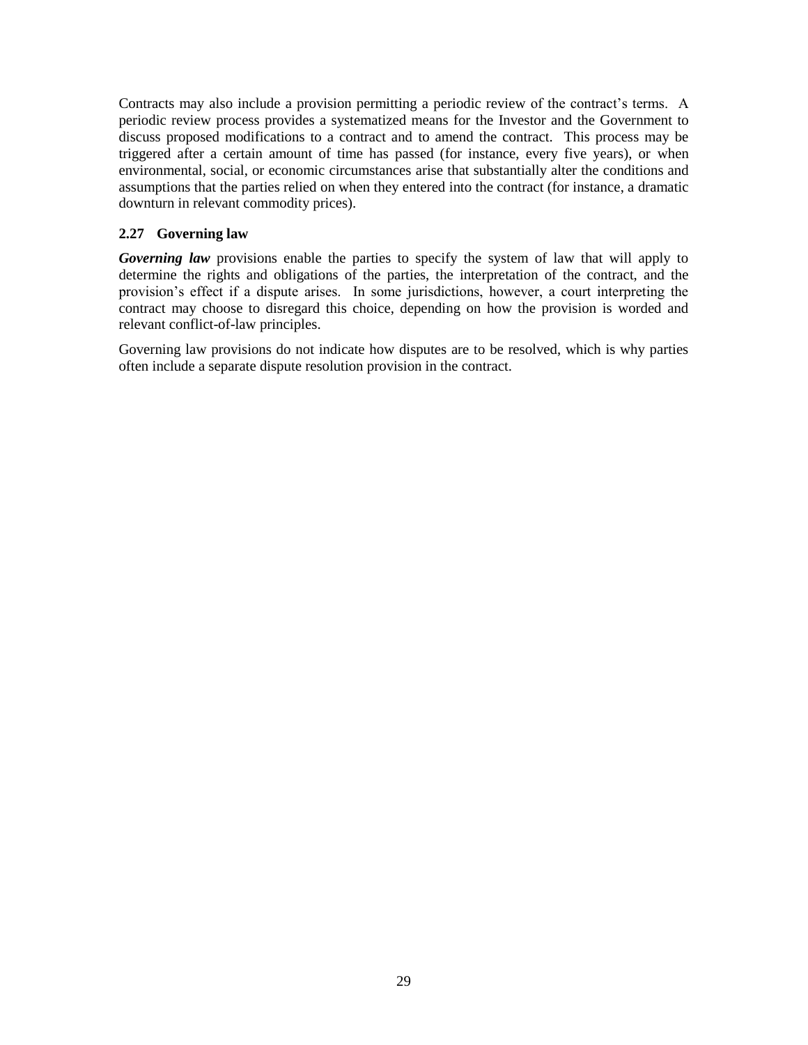Contracts may also include a provision permitting a periodic review of the contract's terms. A periodic review process provides a systematized means for the Investor and the Government to discuss proposed modifications to a contract and to amend the contract. This process may be triggered after a certain amount of time has passed (for instance, every five years), or when environmental, social, or economic circumstances arise that substantially alter the conditions and assumptions that the parties relied on when they entered into the contract (for instance, a dramatic downturn in relevant commodity prices).

## <span id="page-28-0"></span>**2.27 Governing law**

*Governing law* provisions enable the parties to specify the system of law that will apply to determine the rights and obligations of the parties, the interpretation of the contract, and the provision's effect if a dispute arises. In some jurisdictions, however, a court interpreting the contract may choose to disregard this choice, depending on how the provision is worded and relevant conflict-of-law principles.

Governing law provisions do not indicate how disputes are to be resolved, which is why parties often include a separate dispute resolution provision in the contract.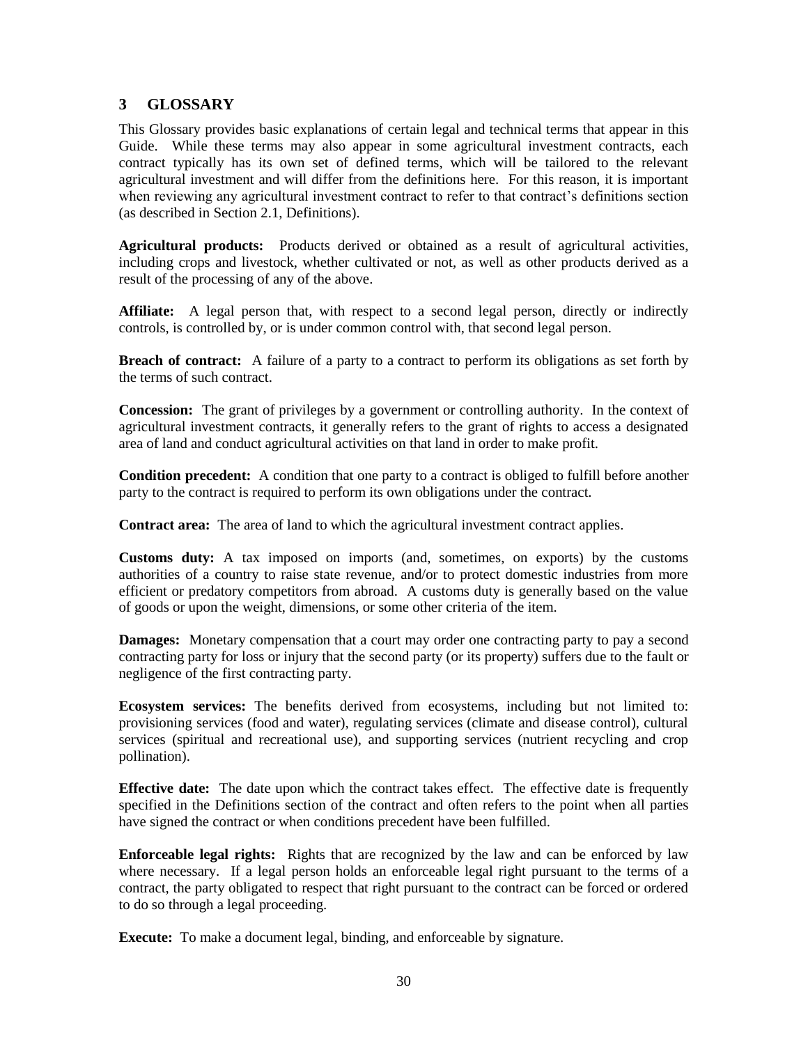# **3 GLOSSARY**

This Glossary provides basic explanations of certain legal and technical terms that appear in this Guide. While these terms may also appear in some agricultural investment contracts, each contract typically has its own set of defined terms, which will be tailored to the relevant agricultural investment and will differ from the definitions here. For this reason, it is important when reviewing any agricultural investment contract to refer to that contract's definitions section (as described in Section [2.1, Definitions\)](#page-6-0).

**Agricultural products:** Products derived or obtained as a result of agricultural activities, including crops and livestock, whether cultivated or not, as well as other products derived as a result of the processing of any of the above.

**Affiliate:** A legal person that, with respect to a second legal person, directly or indirectly controls, is controlled by, or is under common control with, that second legal person.

**Breach of contract:** A failure of a party to a contract to perform its obligations as set forth by the terms of such contract.

**Concession:** The grant of privileges by a government or controlling authority. In the context of agricultural investment contracts, it generally refers to the grant of rights to access a designated area of land and conduct agricultural activities on that land in order to make profit.

**Condition precedent:** A condition that one party to a contract is obliged to fulfill before another party to the contract is required to perform its own obligations under the contract.

**Contract area:** The area of land to which the agricultural investment contract applies.

**Customs duty:** A tax imposed on imports (and, sometimes, on exports) by the customs authorities of a country to raise state revenue, and/or to protect domestic industries from more efficient or predatory competitors from abroad. A customs duty is generally based on the value of goods or upon the weight, dimensions, or some other criteria of the item.

**Damages:** Monetary compensation that a court may order one contracting party to pay a second contracting party for loss or injury that the second party (or its property) suffers due to the fault or negligence of the first contracting party.

**Ecosystem services:** The benefits derived from ecosystems, including but not limited to: provisioning services (food and water), regulating services (climate and disease control), cultural services (spiritual and recreational use), and supporting services (nutrient recycling and crop pollination).

**Effective date:** The date upon which the contract takes effect. The effective date is frequently specified in the Definitions section of the contract and often refers to the point when all parties have signed the contract or when conditions precedent have been fulfilled.

**Enforceable legal rights:** Rights that are recognized by the law and can be enforced by law where necessary. If a legal person holds an enforceable legal right pursuant to the terms of a contract, the party obligated to respect that right pursuant to the contract can be forced or ordered to do so through a legal proceeding.

**Execute:** To make a document legal, binding, and enforceable by signature.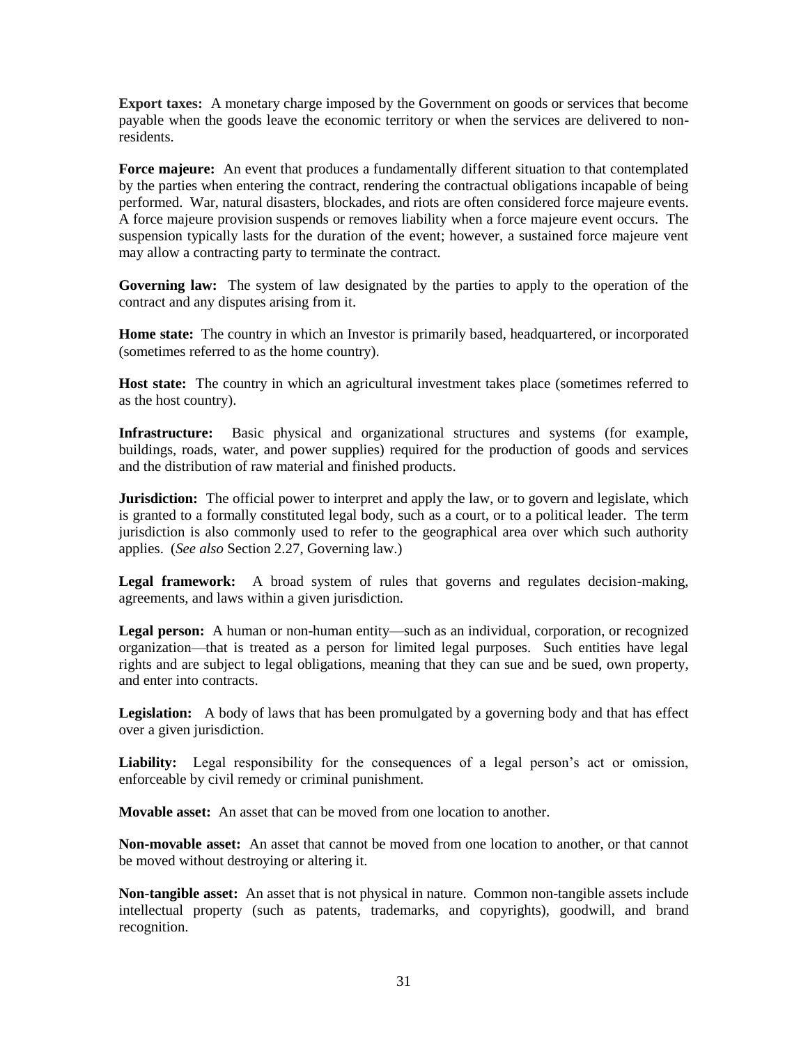**Export taxes:** A monetary charge imposed by the Government on goods or services that become payable when the goods leave the economic territory or when the services are delivered to nonresidents.

**Force majeure:** An event that produces a fundamentally different situation to that contemplated by the parties when entering the contract, rendering the contractual obligations incapable of being performed. War, natural disasters, blockades, and riots are often considered force majeure events. A force majeure provision suspends or removes liability when a force majeure event occurs. The suspension typically lasts for the duration of the event; however, a sustained force majeure vent may allow a contracting party to terminate the contract.

**Governing law:** The system of law designated by the parties to apply to the operation of the contract and any disputes arising from it.

**Home state:** The country in which an Investor is primarily based, headquartered, or incorporated (sometimes referred to as the home country).

Host state: The country in which an agricultural investment takes place (sometimes referred to as the host country).

**Infrastructure:** Basic physical and organizational structures and systems (for example, buildings, roads, water, and power supplies) required for the production of goods and services and the distribution of raw material and finished products.

**Jurisdiction:** The official power to interpret and apply the law, or to govern and legislate, which is granted to a formally constituted legal body, such as a court, or to a political leader. The term jurisdiction is also commonly used to refer to the geographical area over which such authority applies. (*See also* Section [2.27, Governing law.](#page-28-0))

Legal framework: A broad system of rules that governs and regulates decision-making, agreements, and laws within a given jurisdiction.

**Legal person:** A human or non-human entity—such as an individual, corporation, or recognized organization—that is treated as a person for limited legal purposes. Such entities have legal rights and are subject to legal obligations, meaning that they can sue and be sued, own property, and enter into contracts.

**Legislation:** A body of laws that has been promulgated by a governing body and that has effect over a given jurisdiction.

**Liability:** Legal responsibility for the consequences of a legal person's act or omission, enforceable by civil remedy or criminal punishment.

**Movable asset:** An asset that can be moved from one location to another.

**Non-movable asset:** An asset that cannot be moved from one location to another, or that cannot be moved without destroying or altering it.

**Non-tangible asset:** An asset that is not physical in nature. Common non-tangible assets include intellectual property (such as patents, trademarks, and copyrights), goodwill, and brand recognition.